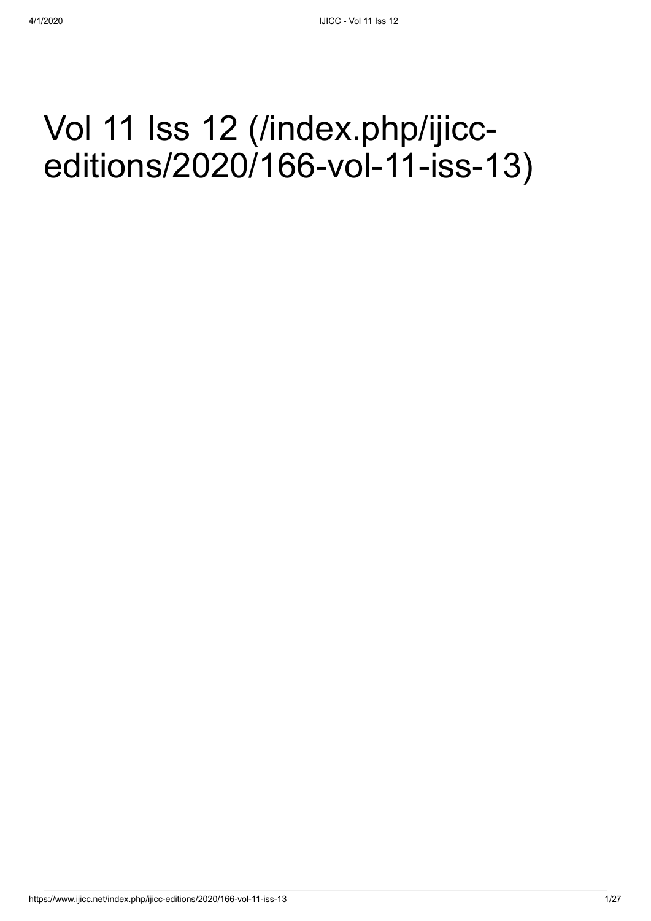## Vol 11 Iss 12 (/index.php/ijicc[editions/2020/166-vol-11-iss-13\)](https://www.ijicc.net/index.php/ijicc-editions/2020/166-vol-11-iss-13)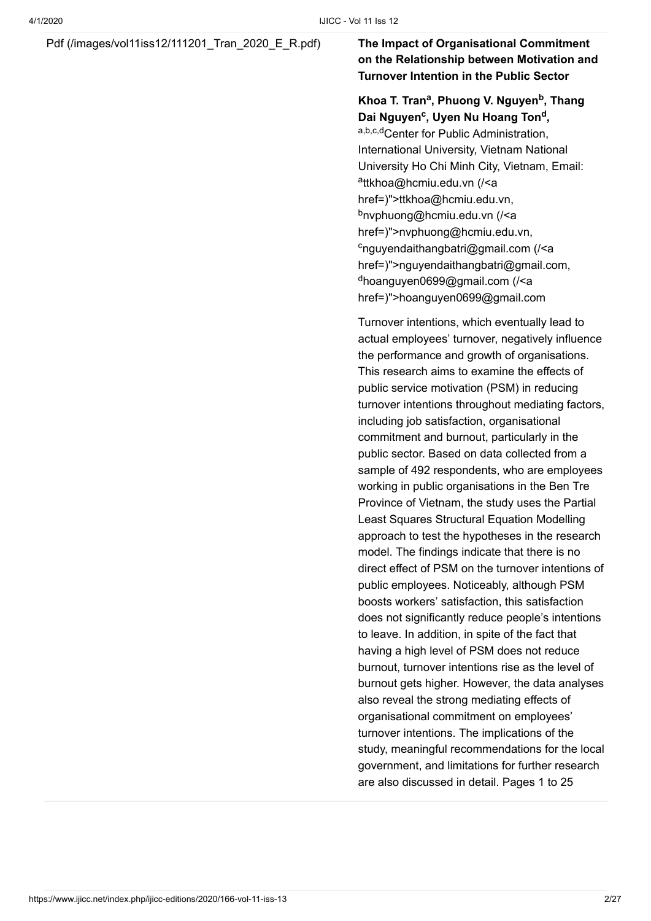### [Pdf \(/images/vol11iss12/111201\\_Tran\\_2020\\_E\\_R.pdf\)](https://www.ijicc.net/images/vol11iss12/111201_Tran_2020_E_R.pdf) **The Impact of Organisational Commitment**

### **on the Relationship between Motivation and Turnover Intention in the Public Sector**

#### **Khoa T. Tran<sup>a</sup>, Phuong V. Nguyen<sup>b</sup>, Thang Dai Nguyen<sup>c</sup>, Uyen Nu Hoang Ton<sup>d</sup>,**

a,b,c,dCenter for Public Administration, International University, Vietnam National University Ho Chi Minh City, Vietnam, Email: <sup>a</sup>ttkhoa@hcmiu.edu.vn (/<a [href=\)">ttkhoa@hcmiu.edu.](https://www.ijicc.net/%3Ca%20href=)vn, <sup>b</sup>nvphuong@hcmiu.edu.vn (/<a [href=\)">nvphuong@hcmiu.edu.](https://www.ijicc.net/%3Ca%20href=)vn, c<sub>nguyendaithangbatri@gmail.com (/<a</sub> [href=\)">nguyendaithangbatri@gmail.co](https://www.ijicc.net/%3Ca%20href=)m, <sup>d</sup>hoanguyen0699@gmail.com (/<a [href=\)">hoanguyen0699@gmail.co](https://www.ijicc.net/%3Ca%20href=)m

Turnover intentions, which eventually lead to actual employees' turnover, negatively influence the performance and growth of organisations. This research aims to examine the effects of public service motivation (PSM) in reducing turnover intentions throughout mediating factors, including job satisfaction, organisational commitment and burnout, particularly in the public sector. Based on data collected from a sample of 492 respondents, who are employees working in public organisations in the Ben Tre Province of Vietnam, the study uses the Partial Least Squares Structural Equation Modelling approach to test the hypotheses in the research model. The findings indicate that there is no direct effect of PSM on the turnover intentions of public employees. Noticeably, although PSM boosts workers' satisfaction, this satisfaction does not significantly reduce people's intentions to leave. In addition, in spite of the fact that having a high level of PSM does not reduce burnout, turnover intentions rise as the level of burnout gets higher. However, the data analyses also reveal the strong mediating effects of organisational commitment on employees' turnover intentions. The implications of the study, meaningful recommendations for the local government, and limitations for further research are also discussed in detail. Pages 1 to 25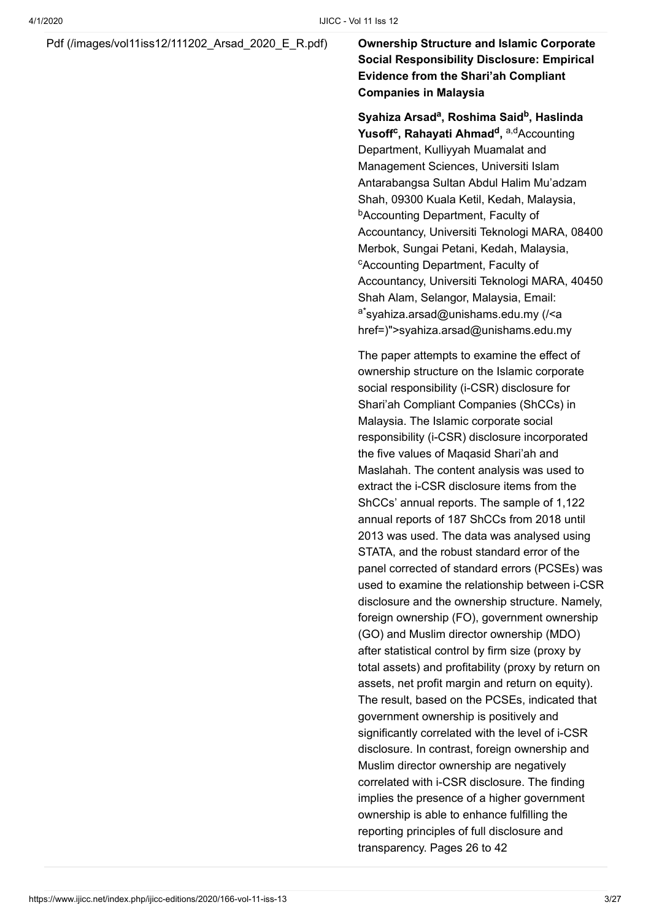[Pdf \(/images/vol11iss12/111202\\_Arsad\\_2020\\_E\\_R.pdf\)](https://www.ijicc.net/images/vol11iss12/111202_Arsad_2020_E_R.pdf) **Ownership Structure and Islamic Corporate**

**Social Responsibility Disclosure: Empirical Evidence from the Shari'ah Compliant Companies in Malaysia**

 $S$ yahiza Arsad<sup>a</sup>, Roshima Said<sup>b</sup>, Haslinda **Yusoff<sup>c</sup>, Rahayati Ahmad<sup>d</sup>, <sup>a,d</sup>Accounting** Department, Kulliyyah Muamalat and Management Sciences, Universiti Islam Antarabangsa Sultan Abdul Halim Mu'adzam Shah, 09300 Kuala Ketil, Kedah, Malaysia, **bAccounting Department, Faculty of** Accountancy, Universiti Teknologi MARA, 08400 Merbok, Sungai Petani, Kedah, Malaysia, <sup>c</sup>Accounting Department, Faculty of Accountancy, Universiti Teknologi MARA, 40450 Shah Alam, Selangor, Malaysia, Email: <sup>a\*</sup>syahiza.arsad@unishams.edu.my (/<a [href=\)">syahiza.arsad@unishams.edu.m](https://www.ijicc.net/%3Ca%20href=)y

The paper attempts to examine the effect of ownership structure on the Islamic corporate social responsibility (i-CSR) disclosure for Shari'ah Compliant Companies (ShCCs) in Malaysia. The Islamic corporate social responsibility (i-CSR) disclosure incorporated the five values of Maqasid Shari'ah and Maslahah. The content analysis was used to extract the i-CSR disclosure items from the ShCCs' annual reports. The sample of 1,122 annual reports of 187 ShCCs from 2018 until 2013 was used. The data was analysed using STATA, and the robust standard error of the panel corrected of standard errors (PCSEs) was used to examine the relationship between i-CSR disclosure and the ownership structure. Namely, foreign ownership (FO), government ownership (GO) and Muslim director ownership (MDO) after statistical control by firm size (proxy by total assets) and profitability (proxy by return on assets, net profit margin and return on equity). The result, based on the PCSEs, indicated that government ownership is positively and significantly correlated with the level of i-CSR disclosure. In contrast, foreign ownership and Muslim director ownership are negatively correlated with i-CSR disclosure. The finding implies the presence of a higher government ownership is able to enhance fulfilling the reporting principles of full disclosure and transparency. Pages 26 to 42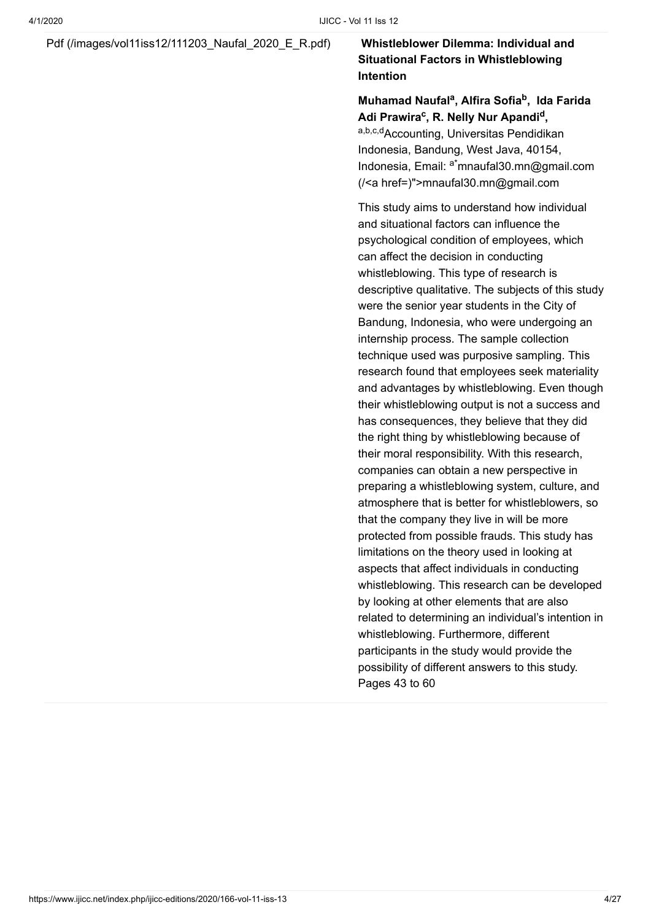#### [Pdf \(/images/vol11iss12/111203\\_Naufal\\_2020\\_E\\_R.pdf\)](https://www.ijicc.net/images/vol11iss12/111203_Naufal_2020_E_R.pdf) **Whistleblower Dilemma: Individual and**

### **Situational Factors in Whistleblowing Intention**

#### **Muhamad Naufal<sup>a</sup>, Alfira Sofia<sup>b</sup>, Ida Farida** Adi Prawira<sup>c</sup>, R. Nelly Nur Apandi<sup>d</sup>,

a,b,c,dAccounting, Universitas Pendidikan Indonesia, Bandung, West Java, 40154, Indonesia, Email: <sup>a\*</sup>mnaufal30.mn@gmail.com (/<a href=)">mnaufal30.mn@gmail.com

This study aims to understand how individual and situational factors can influence the psychological condition of employees, which can affect the decision in conducting whistleblowing. This type of research is descriptive qualitative. The subjects of this study were the senior year students in the City of Bandung, Indonesia, who were undergoing an internship process. The sample collection technique used was purposive sampling. This research found that employees seek materiality and advantages by whistleblowing. Even though their whistleblowing output is not a success and has consequences, they believe that they did the right thing by whistleblowing because of their moral responsibility. With this research, companies can obtain a new perspective in preparing a whistleblowing system, culture, and atmosphere that is better for whistleblowers, so that the company they live in will be more protected from possible frauds. This study has limitations on the theory used in looking at aspects that affect individuals in conducting whistleblowing. This research can be developed by looking at other elements that are also related to determining an individual's intention in whistleblowing. Furthermore, different participants in the study would provide the possibility of different answers to this study. Pages 43 to 60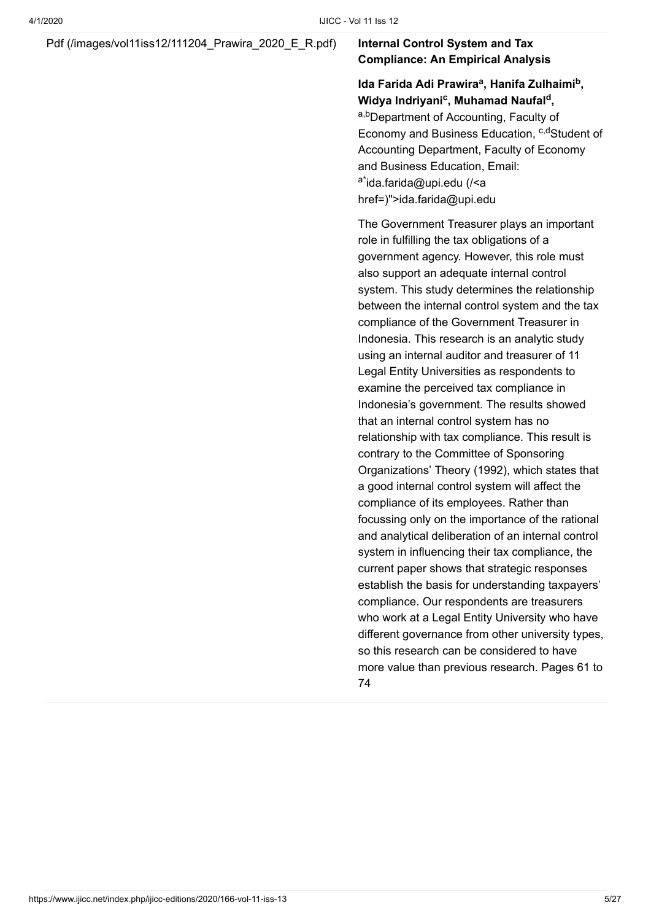#### Pdf (/images/vol11iss12/111204 Prawira 2020 E R.pdf) **Internal Control System and Tax**

### **Compliance: An Empirical Analysis**

### Ida Farida Adi Prawira<sup>a</sup>, Hanifa Zulhaimi<sup>b</sup>, **W**idya Indriyani<sup>c</sup>, Muhamad Naufal<sup>d</sup>,

a,bDepartment of Accounting, Faculty of Economy and Business Education, <sup>c,d</sup>Student of Accounting Department, Faculty of Economy and Business Education, Email: <sup>a\*</sup>ida.farida@upi.edu (/<a [href=\)">ida.farida@upi.ed](https://www.ijicc.net/%3Ca%20href=)u

The Government Treasurer plays an important role in fulfilling the tax obligations of a government agency. However, this role must also support an adequate internal control system. This study determines the relationship between the internal control system and the tax compliance of the Government Treasurer in Indonesia. This research is an analytic study using an internal auditor and treasurer of 11 Legal Entity Universities as respondents to examine the perceived tax compliance in Indonesia's government. The results showed that an internal control system has no relationship with tax compliance. This result is contrary to the Committee of Sponsoring Organizations' Theory (1992), which states that a good internal control system will affect the compliance of its employees. Rather than focussing only on the importance of the rational and analytical deliberation of an internal control system in influencing their tax compliance, the current paper shows that strategic responses establish the basis for understanding taxpayers' compliance. Our respondents are treasurers who work at a Legal Entity University who have different governance from other university types. so this research can be considered to have more value than previous research. Pages 61 to 74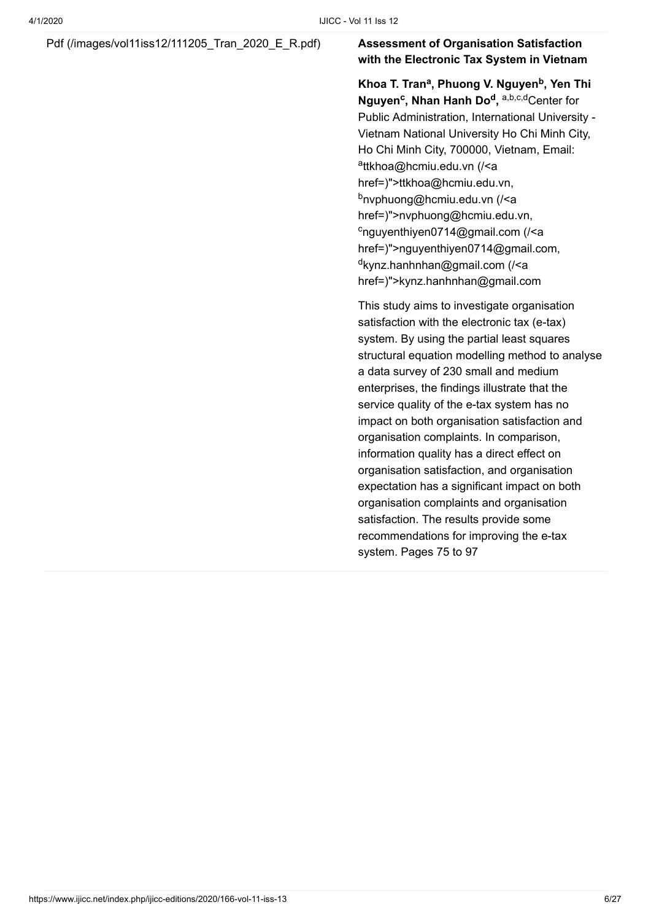### [Pdf \(/images/vol11iss12/111205\\_Tran\\_2020\\_E\\_R.pdf\)](https://www.ijicc.net/images/vol11iss12/111205_Tran_2020_E_R.pdf) **Assessment of Organisation Satisfaction**

### **with the Electronic Tax System in Vietnam**

**Khoa T. Tran<sup>a</sup>, Phuong V. Nguyen<sup>b</sup>, Yen Thi Nguyen<sup>c</sup>, Nhan Hanh Do<sup>d</sup>, a,b,c,dCenter for** Public Administration, International University - Vietnam National University Ho Chi Minh City, Ho Chi Minh City, 700000, Vietnam, Email: <sup>a</sup>ttkhoa@hcmiu.edu.vn (/<a [href=\)">ttkhoa@hcmiu.edu.](https://www.ijicc.net/%3Ca%20href=)vn, <sup>b</sup>nvphuong@hcmiu.edu.vn (/<a [href=\)">nvphuong@hcmiu.edu.](https://www.ijicc.net/%3Ca%20href=)vn, c<sub>nguyenthiyen0714@gmail.com (/<a</sub> [href=\)">nguyenthiyen0714@gmail.co](https://www.ijicc.net/%3Ca%20href=)m, <sup>d</sup>kynz.hanhnhan@gmail.com (/<a [href=\)">kynz.hanhnhan@gmail.co](https://www.ijicc.net/%3Ca%20href=)m

This study aims to investigate organisation satisfaction with the electronic tax (e-tax) system. By using the partial least squares structural equation modelling method to analyse a data survey of 230 small and medium enterprises, the findings illustrate that the service quality of the e-tax system has no impact on both organisation satisfaction and organisation complaints. In comparison, information quality has a direct effect on organisation satisfaction, and organisation expectation has a significant impact on both organisation complaints and organisation satisfaction. The results provide some recommendations for improving the e-tax system. Pages 75 to 97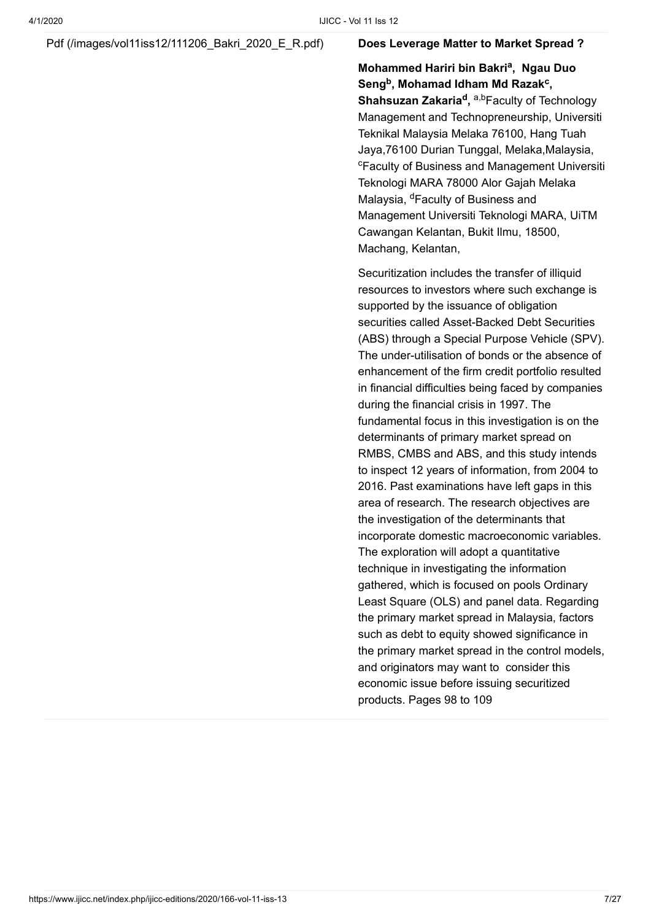#### Pdf (/images/vol11iss12/111206 Bakri 2020 E R.pdf) **Does Leverage Matter to Market Spread ?**

### **Mohammed Hariri bin Bakri<sup>a</sup>, Ngau Duo** Seng<sup>b</sup>, Mohamad Idham Md Razak<sup>c</sup>,

**Shahsuzan Zakaria<sup>d</sup>, <sup>a,b</sup>Faculty of Technology** Management and Technopreneurship, Universiti Teknikal Malaysia Melaka 76100, Hang Tuah Jaya,76100 Durian Tunggal, Melaka,Malaysia, <sup>c</sup>Faculty of Business and Management Universiti Teknologi MARA 78000 Alor Gajah Melaka Malaysia, <sup>d</sup>Faculty of Business and Management Universiti Teknologi MARA, UiTM Cawangan Kelantan, Bukit Ilmu, 18500, Machang, Kelantan,

Securitization includes the transfer of illiquid resources to investors where such exchange is supported by the issuance of obligation securities called Asset-Backed Debt Securities (ABS) through a Special Purpose Vehicle (SPV). The under-utilisation of bonds or the absence of enhancement of the firm credit portfolio resulted in financial difficulties being faced by companies during the financial crisis in 1997. The fundamental focus in this investigation is on the determinants of primary market spread on RMBS, CMBS and ABS, and this study intends to inspect 12 years of information, from 2004 to 2016. Past examinations have left gaps in this area of research. The research objectives are the investigation of the determinants that incorporate domestic macroeconomic variables. The exploration will adopt a quantitative technique in investigating the information gathered, which is focused on pools Ordinary Least Square (OLS) and panel data. Regarding the primary market spread in Malaysia, factors such as debt to equity showed significance in the primary market spread in the control models, and originators may want to consider this economic issue before issuing securitized products. Pages 98 to 109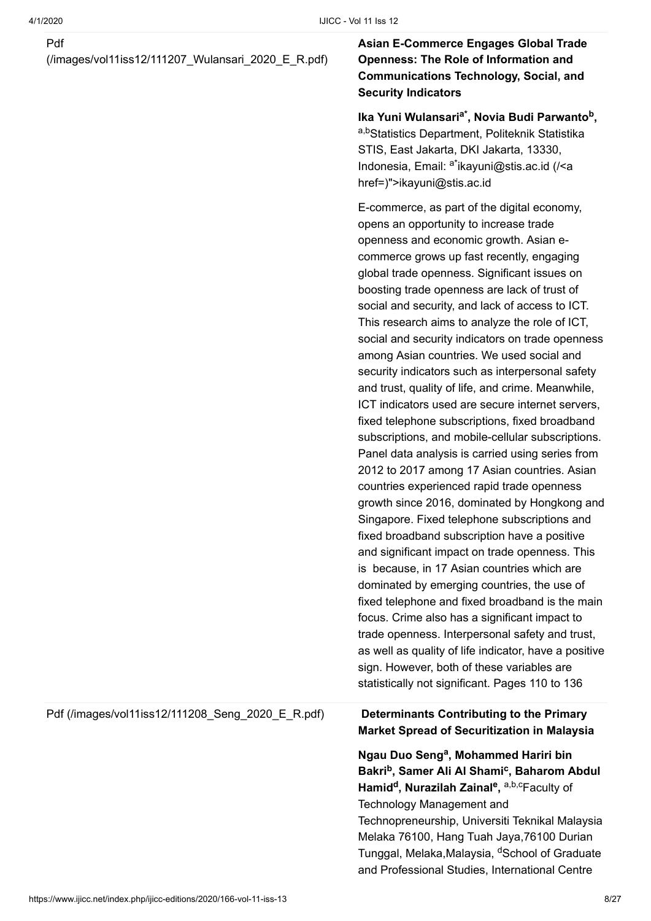#### Pdf

[\(/images/vol11iss12/111207\\_Wulansari\\_2020\\_E\\_R.pdf\)](https://www.ijicc.net/images/vol11iss12/111207_Wulansari_2020_E_R.pdf)

### **Asian E-Commerce Engages Global Trade Openness: The Role of Information and Communications Technology, Social, and Security Indicators**

Ika Yuni Wulansari<sup>a\*</sup>, Novia Budi Parwanto<sup>b</sup>, a,bStatistics Department, Politeknik Statistika STIS, East Jakarta, DKI Jakarta, 13330, Indonesia, Email: <sup>a\*</sup>ikayuni@stis.ac.id (/<a href=)">ikayuni@stis.ac.id

E-commerce, as part of the digital economy, opens an opportunity to increase trade openness and economic growth. Asian ecommerce grows up fast recently, engaging global trade openness. Significant issues on boosting trade openness are lack of trust of social and security, and lack of access to ICT. This research aims to analyze the role of ICT, social and security indicators on trade openness among Asian countries. We used social and security indicators such as interpersonal safety and trust, quality of life, and crime. Meanwhile, ICT indicators used are secure internet servers, fixed telephone subscriptions, fixed broadband subscriptions, and mobile-cellular subscriptions. Panel data analysis is carried using series from 2012 to 2017 among 17 Asian countries. Asian countries experienced rapid trade openness growth since 2016, dominated by Hongkong and Singapore. Fixed telephone subscriptions and fixed broadband subscription have a positive and significant impact on trade openness. This is because, in 17 Asian countries which are dominated by emerging countries, the use of fixed telephone and fixed broadband is the main focus. Crime also has a significant impact to trade openness. Interpersonal safety and trust, as well as quality of life indicator, have a positive sign. However, both of these variables are statistically not significant. Pages 110 to 136

#### [Pdf \(/images/vol11iss12/111208\\_Seng\\_2020\\_E\\_R.pdf\)](https://www.ijicc.net/images/vol11iss12/111208_Seng_2020_E_R.pdf) **Determinants Contributing to the Primary**

**Market Spread of Securitization in Malaysia**

**Ngau Duo Seng<sup>a</sup>, Mohammed Hariri bin** Bakri<sup>b</sup>, Samer Ali Al Shami<sup>c</sup>, Baharom Abdul **Hamid<sup>d</sup>, Nurazilah Zainal<sup>e</sup>, a,b,cFaculty of** Technology Management and Technopreneurship, Universiti Teknikal Malaysia Melaka 76100, Hang Tuah Jaya,76100 Durian Tunggal, Melaka,Malaysia, <sup>d</sup>School of Graduate and Professional Studies, International Centre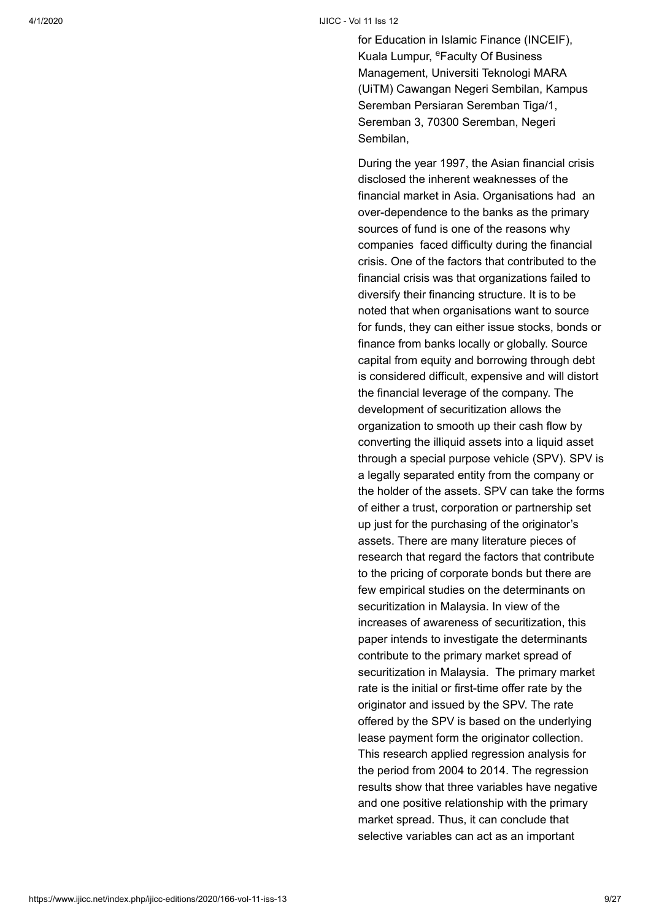#### 4/1/2020 IJICC - Vol 11 Iss 12

for Education in Islamic Finance (INCEIF), Kuala Lumpur, <sup>e</sup>Faculty Of Business Management, Universiti Teknologi MARA (UiTM) Cawangan Negeri Sembilan, Kampus Seremban Persiaran Seremban Tiga/1, Seremban 3, 70300 Seremban, Negeri Sembilan,

During the year 1997, the Asian financial crisis disclosed the inherent weaknesses of the financial market in Asia. Organisations had an over-dependence to the banks as the primary sources of fund is one of the reasons why companies faced difficulty during the financial crisis. One of the factors that contributed to the financial crisis was that organizations failed to diversify their financing structure. It is to be noted that when organisations want to source for funds, they can either issue stocks, bonds or finance from banks locally or globally. Source capital from equity and borrowing through debt is considered difficult, expensive and will distort the financial leverage of the company. The development of securitization allows the organization to smooth up their cash flow by converting the illiquid assets into a liquid asset through a special purpose vehicle (SPV). SPV is a legally separated entity from the company or the holder of the assets. SPV can take the forms of either a trust, corporation or partnership set up just for the purchasing of the originator's assets. There are many literature pieces of research that regard the factors that contribute to the pricing of corporate bonds but there are few empirical studies on the determinants on securitization in Malaysia. In view of the increases of awareness of securitization, this paper intends to investigate the determinants contribute to the primary market spread of securitization in Malaysia. The primary market rate is the initial or first-time offer rate by the originator and issued by the SPV. The rate offered by the SPV is based on the underlying lease payment form the originator collection. This research applied regression analysis for the period from 2004 to 2014. The regression results show that three variables have negative and one positive relationship with the primary market spread. Thus, it can conclude that selective variables can act as an important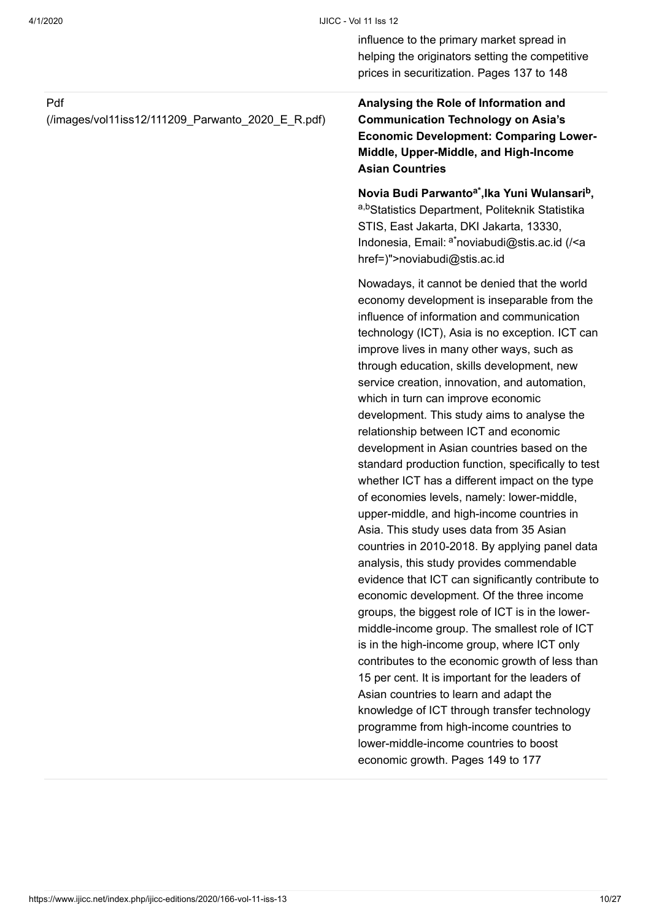influence to the primary market spread in helping the originators setting the competitive prices in securitization. Pages 137 to 148

#### Pdf

[\(/images/vol11iss12/111209\\_Parwanto\\_2020\\_E\\_R.pdf\)](https://www.ijicc.net/images/vol11iss12/111209_Parwanto_2020_E_R.pdf)

**Analysing the Role of Information and Communication Technology on Asia's Economic Development: Comparing Lower-Middle, Upper-Middle, and High-Income Asian Countries**

**Novia Budi Parwanto ,Ika Yuni Wulansari , a\* b** a,bStatistics Department, Politeknik Statistika STIS, East Jakarta, DKI Jakarta, 13330, Indonesia, Email: <sup>a\*</sup>noviabudi@stis.ac.id (/<a [href=\)">noviabudi@stis.ac.id](https://www.ijicc.net/%3Ca%20href=)

Nowadays, it cannot be denied that the world economy development is inseparable from the influence of information and communication technology (ICT), Asia is no exception. ICT can improve lives in many other ways, such as through education, skills development, new service creation, innovation, and automation, which in turn can improve economic development. This study aims to analyse the relationship between ICT and economic development in Asian countries based on the standard production function, specifically to test whether ICT has a different impact on the type of economies levels, namely: lower-middle, upper-middle, and high-income countries in Asia. This study uses data from 35 Asian countries in 2010-2018. By applying panel data analysis, this study provides commendable evidence that ICT can significantly contribute to economic development. Of the three income groups, the biggest role of ICT is in the lowermiddle-income group. The smallest role of ICT is in the high-income group, where ICT only contributes to the economic growth of less than 15 per cent. It is important for the leaders of Asian countries to learn and adapt the knowledge of ICT through transfer technology programme from high-income countries to lower-middle-income countries to boost economic growth. Pages 149 to 177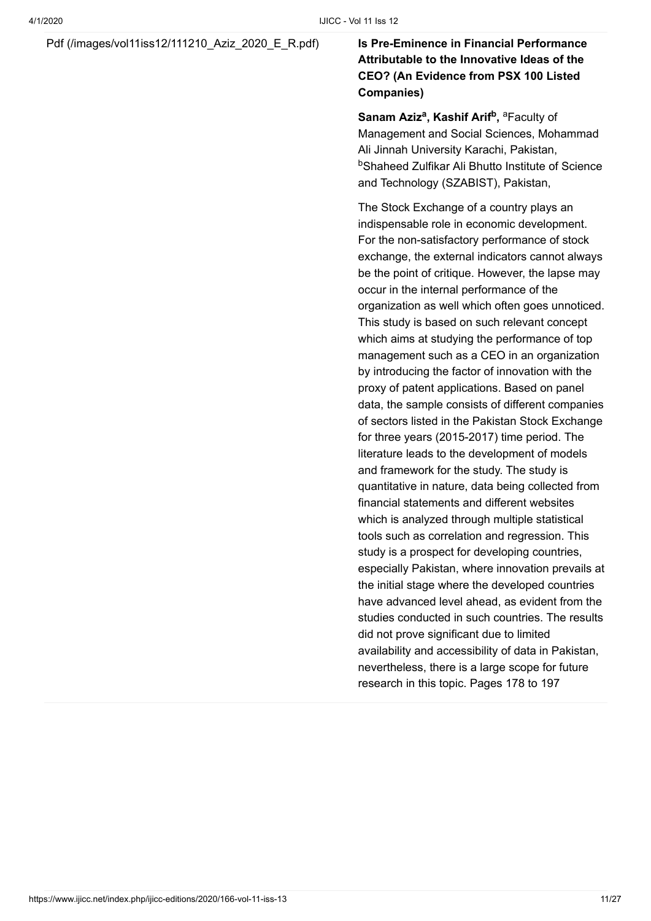### [Pdf \(/images/vol11iss12/111210\\_Aziz\\_2020\\_E\\_R.pdf\)](https://www.ijicc.net/images/vol11iss12/111210_Aziz_2020_E_R.pdf) **Is Pre-Eminence in Financial Performance**

### **Attributable to the Innovative Ideas of the CEO? (An Evidence from PSX 100 Listed Companies)**

**Sanam Aziz<sup>a</sup>, Kashif Arif<sup>b</sup>, <sup>a</sup>Faculty of** Management and Social Sciences, Mohammad Ali Jinnah University Karachi, Pakistan, <sup>b</sup>Shaheed Zulfikar Ali Bhutto Institute of Science and Technology (SZABIST), Pakistan,

The Stock Exchange of a country plays an indispensable role in economic development. For the non-satisfactory performance of stock exchange, the external indicators cannot always be the point of critique. However, the lapse may occur in the internal performance of the organization as well which often goes unnoticed. This study is based on such relevant concept which aims at studying the performance of top management such as a CEO in an organization by introducing the factor of innovation with the proxy of patent applications. Based on panel data, the sample consists of different companies of sectors listed in the Pakistan Stock Exchange for three years (2015-2017) time period. The literature leads to the development of models and framework for the study. The study is quantitative in nature, data being collected from financial statements and different websites which is analyzed through multiple statistical tools such as correlation and regression. This study is a prospect for developing countries, especially Pakistan, where innovation prevails at the initial stage where the developed countries have advanced level ahead, as evident from the studies conducted in such countries. The results did not prove significant due to limited availability and accessibility of data in Pakistan, nevertheless, there is a large scope for future research in this topic. Pages 178 to 197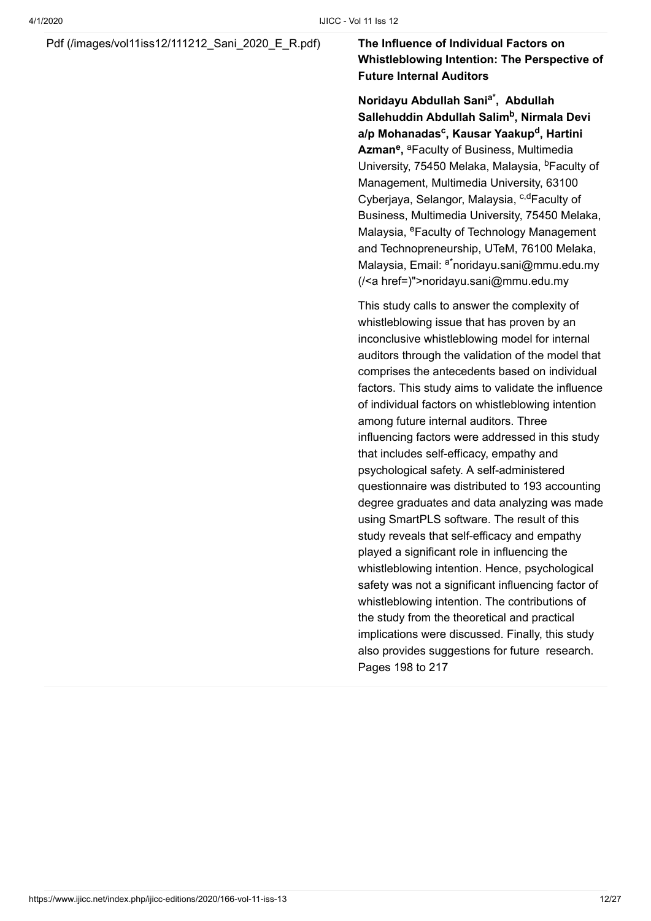#### [Pdf \(/images/vol11iss12/111212\\_Sani\\_2020\\_E\\_R.pdf\)](https://www.ijicc.net/images/vol11iss12/111212_Sani_2020_E_R.pdf) **The Influence of Individual Factors on**

**Whistleblowing Intention: The Perspective of Future Internal Auditors**

**Noridayu Abdullah Sani , Abdullah a\*** Sallehuddin Abdullah Salim<sup>b</sup>, Nirmala Devi a/p Mohanadas<sup>c</sup>, Kausar Yaakup<sup>d</sup>, Hartini Azman<sup>e</sup>, <sup>a</sup>Faculty of Business, Multimedia University, 75450 Melaka, Malaysia, <sup>b</sup>Faculty of Management, Multimedia University, 63100 Cyberjaya, Selangor, Malaysia, <sup>c,d</sup>Faculty of Business, Multimedia University, 75450 Melaka, Malaysia, <sup>e</sup>Faculty of Technology Management and Technopreneurship, UTeM, 76100 Melaka, Malaysia, Email: <sup>a\*</sup>noridayu.sani@mmu.edu.my (/<a href=)">noridayu.sani@mmu.edu.my

This study calls to answer the complexity of whistleblowing issue that has proven by an inconclusive whistleblowing model for internal auditors through the validation of the model that comprises the antecedents based on individual factors. This study aims to validate the influence of individual factors on whistleblowing intention among future internal auditors. Three influencing factors were addressed in this study that includes self-efficacy, empathy and psychological safety. A self-administered questionnaire was distributed to 193 accounting degree graduates and data analyzing was made using SmartPLS software. The result of this study reveals that self-efficacy and empathy played a significant role in influencing the whistleblowing intention. Hence, psychological safety was not a significant influencing factor of whistleblowing intention. The contributions of the study from the theoretical and practical implications were discussed. Finally, this study also provides suggestions for future research. Pages 198 to 217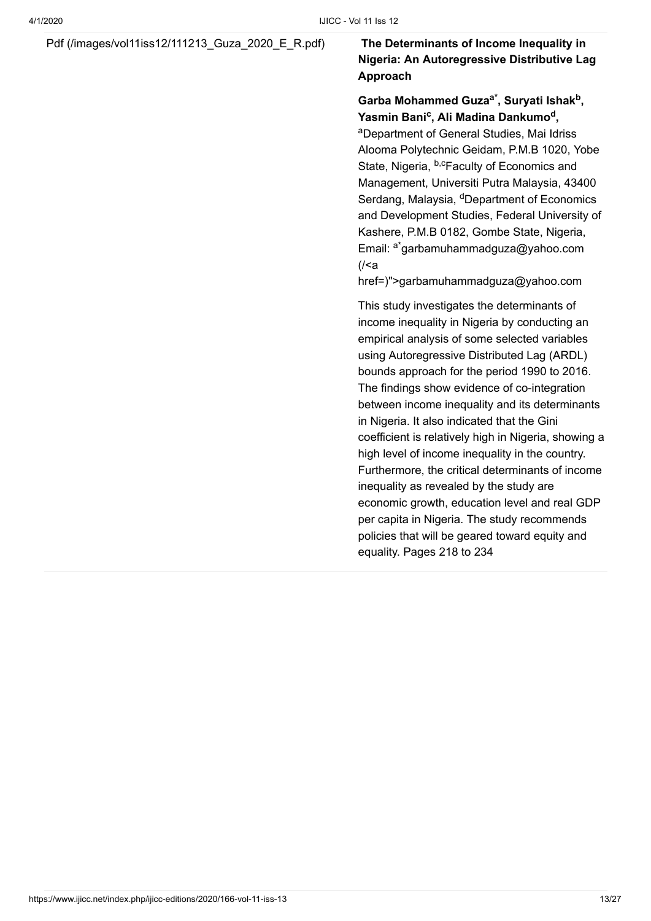### Pdf (/images/vol11iss12/111213 Guza 2020 E R.pdf) **The Determinants of Income Inequality in**

### **Nigeria: An Autoregressive Distributive Lag Approach**

#### Garba Mohammed Guza<sup>a\*</sup>, Suryati Ishak<sup>b</sup>, **Yasmin Bani<sup>c</sup>, Ali Madina Dankumo<sup>d</sup>,**

<sup>a</sup>Department of General Studies, Mai Idriss Alooma Polytechnic Geidam, P.M.B 1020, Yobe State, Nigeria, <sup>b,c</sup>Faculty of Economics and Management, Universiti Putra Malaysia, 43400 Serdang, Malaysia, <sup>d</sup>Department of Economics and Development Studies, Federal University of Kashere, P.M.B 0182, Gombe State, Nigeria, Email: <sup>a\*</sup>garbamuhammadguza@yahoo.com (/<a

href=)">garbamuhammadguza@yahoo.com

This study investigates the determinants of income inequality in Nigeria by conducting an empirical analysis of some selected variables using Autoregressive Distributed Lag (ARDL) bounds approach for the period 1990 to 2016. The findings show evidence of co-integration between income inequality and its determinants in Nigeria. It also indicated that the Gini coefficient is relatively high in Nigeria, showing a high level of income inequality in the country. Furthermore, the critical determinants of income inequality as revealed by the study are economic growth, education level and real GDP per capita in Nigeria. The study recommends policies that will be geared toward equity and equality. Pages 218 to 234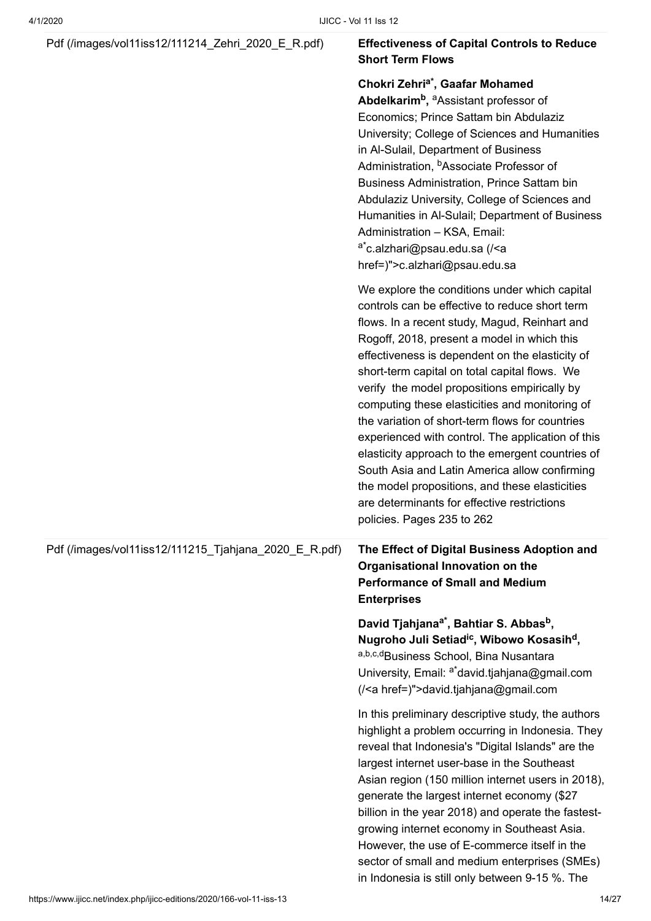#### [Pdf \(/images/vol11iss12/111214\\_Zehri\\_2020\\_E\\_R.pdf\)](https://www.ijicc.net/images/vol11iss12/111214_Zehri_2020_E_R.pdf) **Effectiveness of Capital Controls to Reduce**

### **Short Term Flows**

#### **Chokri Zehri<sup>a\*</sup>, Gaafar Mohamed**

**Abdelkarim<sup>b</sup>, <sup>a</sup>Assistant professor of** Economics; Prince Sattam bin Abdulaziz University; College of Sciences and Humanities in Al-Sulail, Department of Business Administration, <sup>b</sup>Associate Professor of Business Administration, Prince Sattam bin Abdulaziz University, College of Sciences and Humanities in Al-Sulail; Department of Business

Administration – KSA, Email: <sup>a\*</sup>c.alzhari@psau.edu.sa (/<a [href=\)">c.alzhari@psau.edu.s](https://www.ijicc.net/%3Ca%20href=)a We explore the conditions under which capital controls can be effective to reduce short term flows. In a recent study, Magud, Reinhart and Rogoff, 2018, present a model in which this effectiveness is dependent on the elasticity of short-term capital on total capital flows. We verify the model propositions empirically by computing these elasticities and monitoring of the variation of short-term flows for countries experienced with control. The application of this elasticity approach to the emergent countries of South Asia and Latin America allow confirming the model propositions, and these elasticities are determinants for effective restrictions policies. Pages 235 to 262 Pdf (/images/vol11iss12/111215 Tjahjana 2020 E R.pdf) **The Effect of Digital Business Adoption and Organisational Innovation on the Performance of Small and Medium Enterprises David Tjahjana , Bahtiar S. Abbas , a\* b Nugroho Juli Setiad<sup>ic</sup>, Wibowo Kosasih<sup>d</sup>,** a,b,c,dBusiness School, Bina Nusantara University, Email: <sup>a\*</sup>david.tjahjana@gmail.com (/<a href=)">david.tjahjana@gmail.com In this preliminary descriptive study, the authors highlight a problem occurring in Indonesia. They reveal that Indonesia's "Digital Islands" are the largest internet user-base in the Southeast Asian region (150 million internet users in 2018), generate the largest internet economy (\$27 billion in the year 2018) and operate the fastestgrowing internet economy in Southeast Asia. However, the use of E-commerce itself in the sector of small and medium enterprises (SMEs) in Indonesia is still only between 9-15 %. The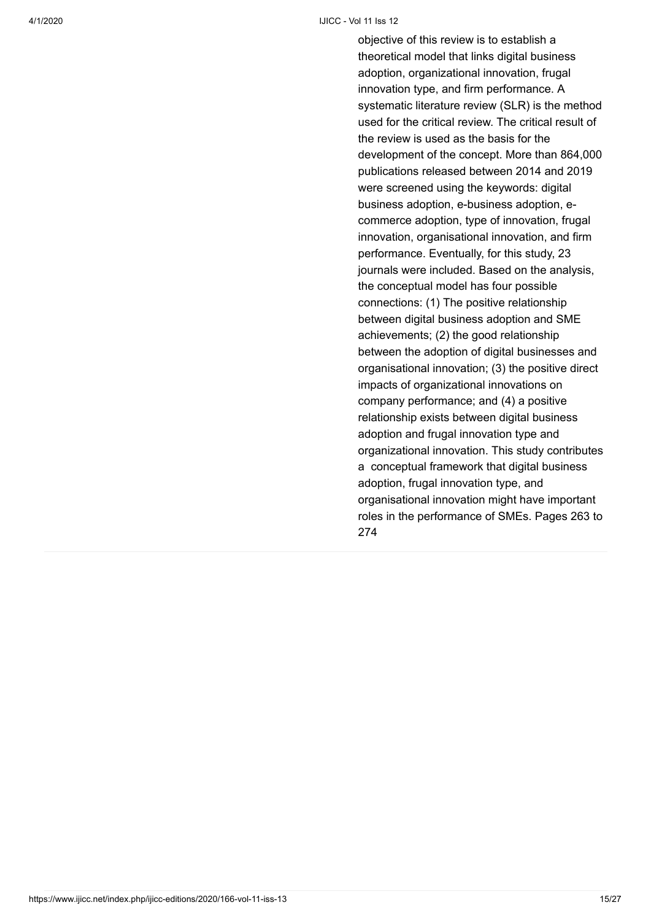#### 4/1/2020 IJICC - Vol 11 Iss 12

objective of this review is to establish a theoretical model that links digital business adoption, organizational innovation, frugal innovation type, and firm performance. A systematic literature review (SLR) is the method used for the critical review. The critical result of the review is used as the basis for the development of the concept. More than 864,000 publications released between 2014 and 2019 were screened using the keywords: digital business adoption, e-business adoption, ecommerce adoption, type of innovation, frugal innovation, organisational innovation, and firm performance. Eventually, for this study, 23 journals were included. Based on the analysis, the conceptual model has four possible connections: (1) The positive relationship between digital business adoption and SME achievements; (2) the good relationship between the adoption of digital businesses and organisational innovation; (3) the positive direct impacts of organizational innovations on company performance; and (4) a positive relationship exists between digital business adoption and frugal innovation type and organizational innovation. This study contributes a conceptual framework that digital business adoption, frugal innovation type, and organisational innovation might have important roles in the performance of SMEs. Pages 263 to 274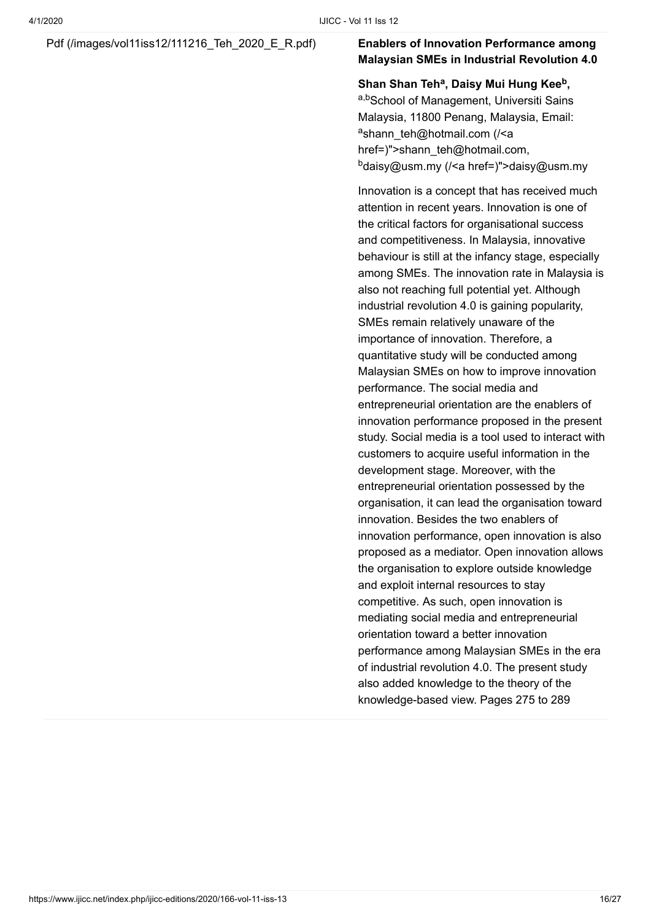### [Pdf \(/images/vol11iss12/111216\\_Teh\\_2020\\_E\\_R.pdf\)](https://www.ijicc.net/images/vol11iss12/111216_Teh_2020_E_R.pdf) **Enablers of Innovation Performance among**

### **Malaysian SMEs in Industrial Revolution 4.0**

**Shan Shan Teh<sup>a</sup>, Daisy Mui Hung Kee<sup>b</sup>,** a,bSchool of Management, Universiti Sains Malaysia, 11800 Penang, Malaysia, Email: <sup>a</sup>shann\_teh@hotmail.com (/<a [href=\)">shann\\_teh@hotmail.co](https://www.ijicc.net/%3Ca%20href=)m, <sup>b</sup>[daisy@usm.my \(/<a href=\)"](https://www.ijicc.net/%3Ca%20href=)>daisy@usm.my

Innovation is a concept that has received much attention in recent years. Innovation is one of the critical factors for organisational success and competitiveness. In Malaysia, innovative behaviour is still at the infancy stage, especially among SMEs. The innovation rate in Malaysia is also not reaching full potential yet. Although industrial revolution 4.0 is gaining popularity, SMEs remain relatively unaware of the importance of innovation. Therefore, a quantitative study will be conducted among Malaysian SMEs on how to improve innovation performance. The social media and entrepreneurial orientation are the enablers of innovation performance proposed in the present study. Social media is a tool used to interact with customers to acquire useful information in the development stage. Moreover, with the entrepreneurial orientation possessed by the organisation, it can lead the organisation toward innovation. Besides the two enablers of innovation performance, open innovation is also proposed as a mediator. Open innovation allows the organisation to explore outside knowledge and exploit internal resources to stay competitive. As such, open innovation is mediating social media and entrepreneurial orientation toward a better innovation performance among Malaysian SMEs in the era of industrial revolution 4.0. The present study also added knowledge to the theory of the knowledge-based view. Pages 275 to 289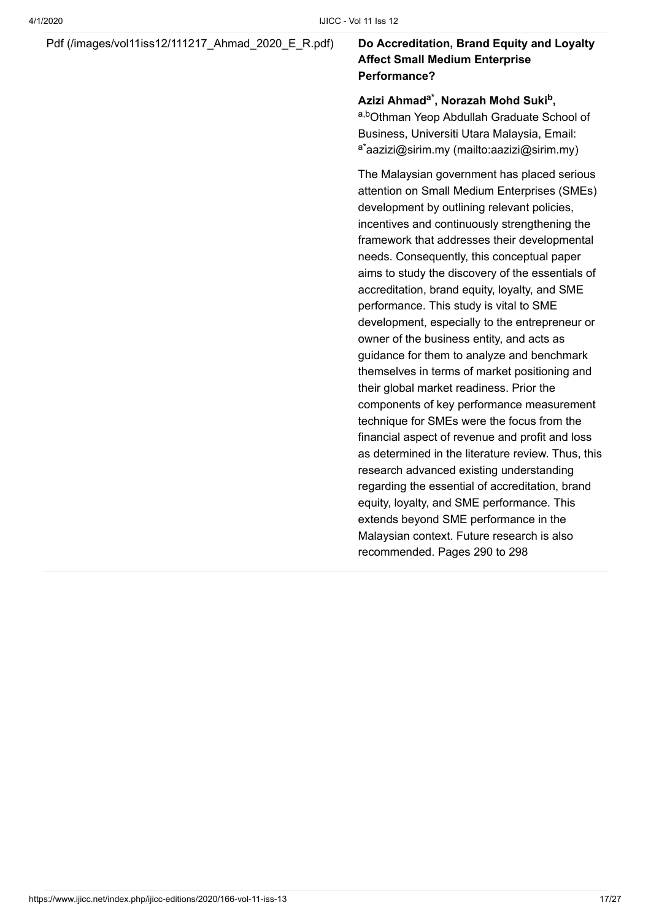### [Pdf \(/images/vol11iss12/111217\\_Ahmad\\_2020\\_E\\_R.pdf\)](https://www.ijicc.net/images/vol11iss12/111217_Ahmad_2020_E_R.pdf) **Do Accreditation, Brand Equity and Loyalty**

### **Affect Small Medium Enterprise Performance?**

#### **Azizi Ahmad , Norazah Mohd Suki , a\* b**

a,bOthman Yeop Abdullah Graduate School of Business, Universiti Utara Malaysia, Email: <sup>a\*</sup>[aazizi@sirim.my \(mailto:aazizi@sirim.my\)](mailto:aazizi@sirim.my)

The Malaysian government has placed serious attention on Small Medium Enterprises (SMEs) development by outlining relevant policies, incentives and continuously strengthening the framework that addresses their developmental needs. Consequently, this conceptual paper aims to study the discovery of the essentials of accreditation, brand equity, loyalty, and SME performance. This study is vital to SME development, especially to the entrepreneur or owner of the business entity, and acts as guidance for them to analyze and benchmark themselves in terms of market positioning and their global market readiness. Prior the components of key performance measurement technique for SMEs were the focus from the financial aspect of revenue and profit and loss as determined in the literature review. Thus, this research advanced existing understanding regarding the essential of accreditation, brand equity, loyalty, and SME performance. This extends beyond SME performance in the Malaysian context. Future research is also recommended. Pages 290 to 298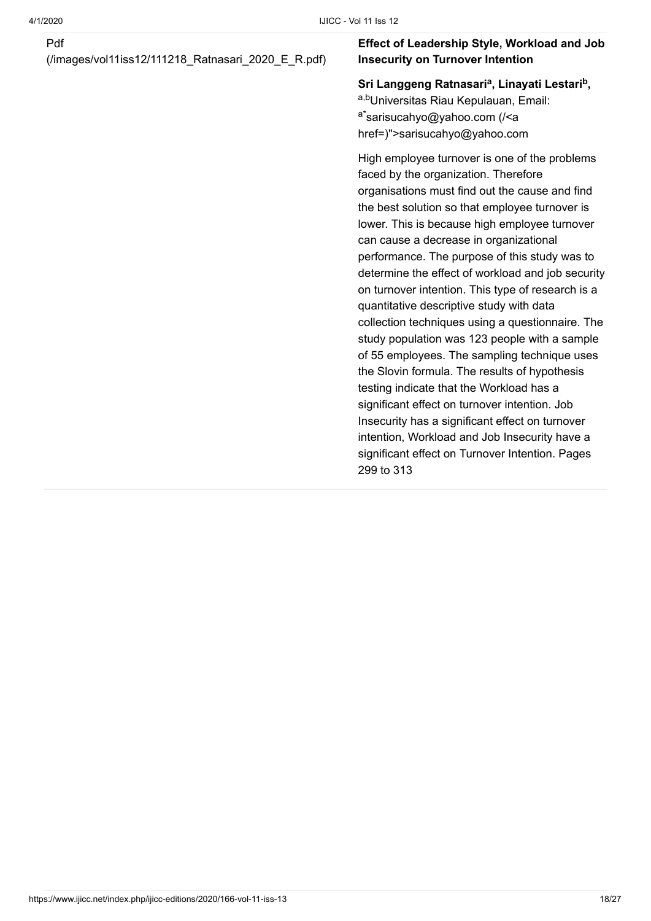#### Pdf

[\(/images/vol11iss12/111218\\_Ratnasari\\_2020\\_E\\_R.pdf\)](https://www.ijicc.net/images/vol11iss12/111218_Ratnasari_2020_E_R.pdf)

#### **Effect of Leadership Style, Workload and Job Insecurity on Turnover Intention**

Sri Langgeng Ratnasari<sup>a</sup>, Linayati Lestari<sup>b</sup>,

a,bUniversitas Riau Kepulauan, Email: <sup>a\*</sup>sarisucahyo@yahoo.com (/<a [href=\)">sarisucahyo@yahoo.com](https://www.ijicc.net/%3Ca%20href=)

High employee turnover is one of the problems faced by the organization. Therefore organisations must find out the cause and find the best solution so that employee turnover is lower. This is because high employee turnover can cause a decrease in organizational performance. The purpose of this study was to determine the effect of workload and job security on turnover intention. This type of research is a quantitative descriptive study with data collection techniques using a questionnaire. The study population was 123 people with a sample of 55 employees. The sampling technique uses the Slovin formula. The results of hypothesis testing indicate that the Workload has a significant effect on turnover intention. Job Insecurity has a significant effect on turnover intention, Workload and Job Insecurity have a significant effect on Turnover Intention. Pages 299 to 313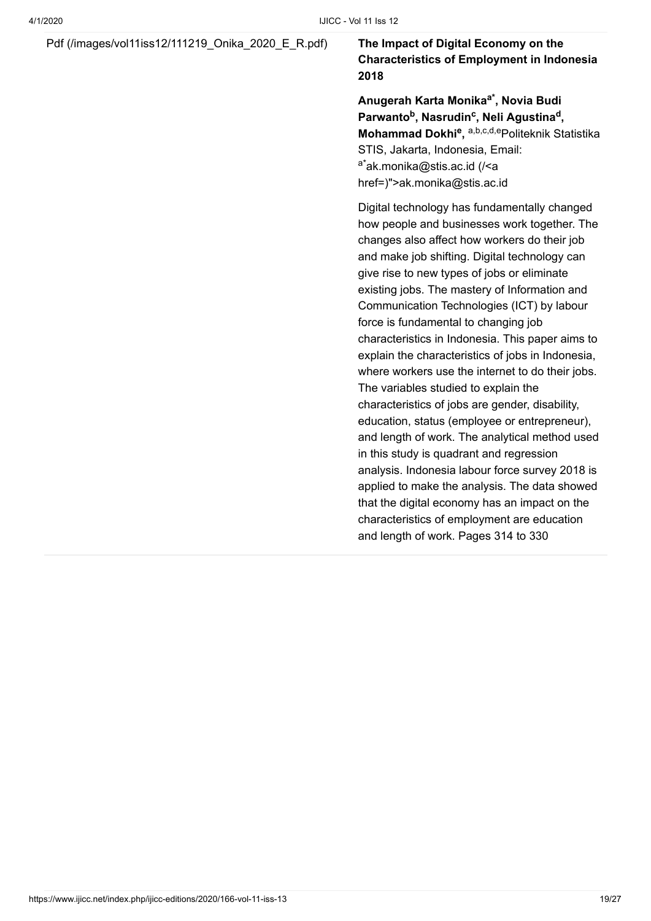### [Pdf \(/images/vol11iss12/111219\\_Onika\\_2020\\_E\\_R.pdf\)](https://www.ijicc.net/images/vol11iss12/111219_Onika_2020_E_R.pdf) **The Impact of Digital Economy on the**

### **Characteristics of Employment in Indonesia 2018**

**Anugerah Karta Monika , Novia Budi a\* Parwanto<sup>b</sup>, Nasrudin<sup>c</sup>, Neli Agustina<sup>d</sup>, Mohammad Dokhi<sup>e</sup>, a,b,c,d,epoliteknik Statistika** STIS, Jakarta, Indonesia, Email: <sup>a\*</sup>ak.monika@stis.ac.id (/<a [href=\)">ak.monika@stis.ac.](https://www.ijicc.net/%3Ca%20href=)id

Digital technology has fundamentally changed how people and businesses work together. The changes also affect how workers do their job and make job shifting. Digital technology can give rise to new types of jobs or eliminate existing jobs. The mastery of Information and Communication Technologies (ICT) by labour force is fundamental to changing job characteristics in Indonesia. This paper aims to explain the characteristics of jobs in Indonesia, where workers use the internet to do their jobs. The variables studied to explain the characteristics of jobs are gender, disability, education, status (employee or entrepreneur), and length of work. The analytical method used in this study is quadrant and regression analysis. Indonesia labour force survey 2018 is applied to make the analysis. The data showed that the digital economy has an impact on the characteristics of employment are education and length of work. Pages 314 to 330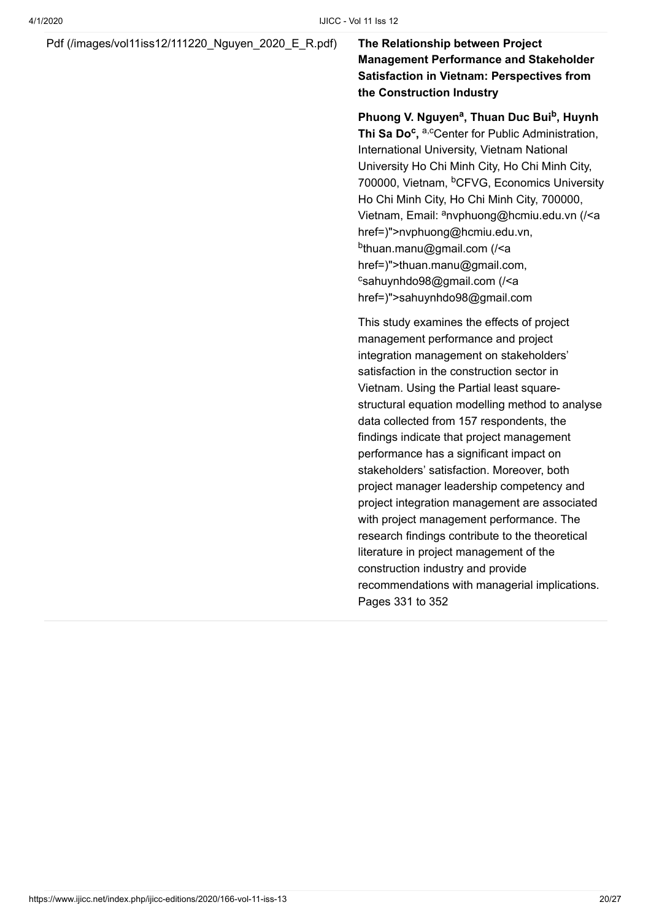[Pdf \(/images/vol11iss12/111220\\_Nguyen\\_2020\\_E\\_R.pdf\)](https://www.ijicc.net/images/vol11iss12/111220_Nguyen_2020_E_R.pdf) **The Relationship between Project**

**Management Performance and Stakeholder Satisfaction in Vietnam: Perspectives from the Construction Industry**

Phuong V. Nguyen<sup>a</sup>, Thuan Duc Bui<sup>b</sup>, Huynh Thi Sa Do<sup>c</sup>, a,cCenter for Public Administration, International University, Vietnam National University Ho Chi Minh City, Ho Chi Minh City, 700000, Vietnam, <sup>b</sup>CFVG, Economics University Ho Chi Minh City, Ho Chi Minh City, 700000, Vietnam, Email: <sup>a</sup>nvphuong@hcmiu.edu.vn (/<a href=)">nvphuong@hcmiu.edu.vn, <sup>b</sup>thuan.manu@gmail.com (/<a [href=\)">thuan.manu@gmail.co](https://www.ijicc.net/%3Ca%20href=)m, csahuynhdo98@gmail.com (/<a [href=\)">sahuynhdo98@gmail.co](https://www.ijicc.net/%3Ca%20href=)m

This study examines the effects of project management performance and project integration management on stakeholders' satisfaction in the construction sector in Vietnam. Using the Partial least squarestructural equation modelling method to analyse data collected from 157 respondents, the findings indicate that project management performance has a significant impact on stakeholders' satisfaction. Moreover, both project manager leadership competency and project integration management are associated with project management performance. The research findings contribute to the theoretical literature in project management of the construction industry and provide recommendations with managerial implications. Pages 331 to 352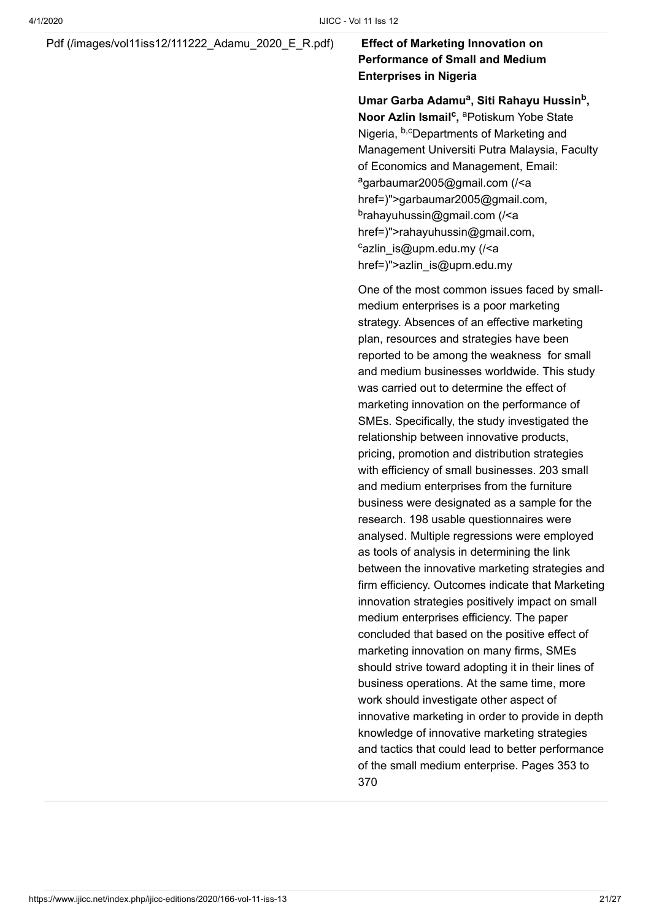[Pdf \(/images/vol11iss12/111222\\_Adamu\\_2020\\_E\\_R.pdf\)](https://www.ijicc.net/images/vol11iss12/111222_Adamu_2020_E_R.pdf) **Effect of Marketing Innovation on**

### **Performance of Small and Medium Enterprises in Nigeria**

Umar Garba Adamu<sup>a</sup>, Siti Rahayu Hussin<sup>b</sup>, **Noor Azlin Ismail<sup>c</sup>, <sup>a</sup>Potiskum Yobe State** Nigeria, <sup>b,c</sup>Departments of Marketing and Management Universiti Putra Malaysia, Faculty of Economics and Management, Email: <sup>a</sup>garbaumar2005@gmail.com (/<a [href=\)">garbaumar2005@gmail.co](https://www.ijicc.net/%3Ca%20href=)m, <sup>b</sup>rahayuhussin@gmail.com (/<a [href=\)">rahayuhussin@gmail.co](https://www.ijicc.net/%3Ca%20href=)m, cazlin\_is@upm.edu.my (/<a [href=\)">azlin\\_is@upm.edu.m](https://www.ijicc.net/%3Ca%20href=)y

One of the most common issues faced by smallmedium enterprises is a poor marketing strategy. Absences of an effective marketing plan, resources and strategies have been reported to be among the weakness for small and medium businesses worldwide. This study was carried out to determine the effect of marketing innovation on the performance of SMEs. Specifically, the study investigated the relationship between innovative products, pricing, promotion and distribution strategies with efficiency of small businesses. 203 small and medium enterprises from the furniture business were designated as a sample for the research. 198 usable questionnaires were analysed. Multiple regressions were employed as tools of analysis in determining the link between the innovative marketing strategies and firm efficiency. Outcomes indicate that Marketing innovation strategies positively impact on small medium enterprises efficiency. The paper concluded that based on the positive effect of marketing innovation on many firms, SMEs should strive toward adopting it in their lines of business operations. At the same time, more work should investigate other aspect of innovative marketing in order to provide in depth knowledge of innovative marketing strategies and tactics that could lead to better performance of the small medium enterprise. Pages 353 to 370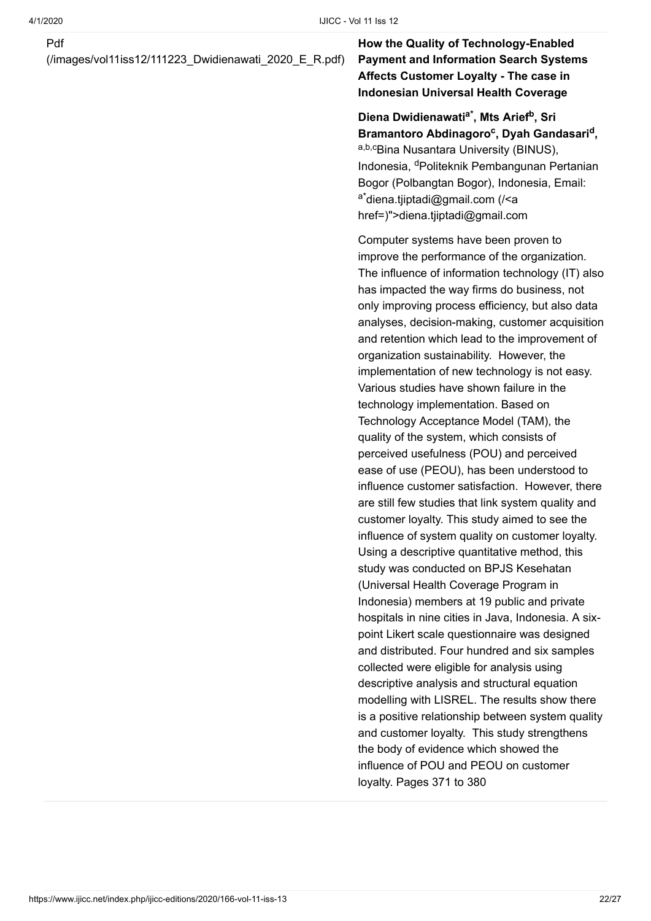#### Pdf

[\(/images/vol11iss12/111223\\_Dwidienawati\\_2020\\_E\\_R.pdf\)](https://www.ijicc.net/images/vol11iss12/111223_Dwidienawati_2020_E_R.pdf)

**How the Quality of Technology-Enabled Payment and Information Search Systems Affects Customer Loyalty - The case in Indonesian Universal Health Coverage**

Diena Dwidienawati<sup>a\*</sup>, Mts Arief<sup>b</sup>, Sri Bramantoro Abdinagoro<sup>c</sup>, Dyah Gandasari<sup>d</sup>, a,b,cBina Nusantara University (BINUS), Indonesia, <sup>d</sup>Politeknik Pembangunan Pertanian Bogor (Polbangtan Bogor), Indonesia, Email: <sup>a\*</sup>diena.tjiptadi@gmail.com (/<a [href=\)">diena.tjiptadi@gmail.com](https://www.ijicc.net/%3Ca%20href=)

Computer systems have been proven to improve the performance of the organization. The influence of information technology (IT) also has impacted the way firms do business, not only improving process efficiency, but also data analyses, decision-making, customer acquisition and retention which lead to the improvement of organization sustainability. However, the implementation of new technology is not easy. Various studies have shown failure in the technology implementation. Based on Technology Acceptance Model (TAM), the quality of the system, which consists of perceived usefulness (POU) and perceived ease of use (PEOU), has been understood to influence customer satisfaction. However, there are still few studies that link system quality and customer loyalty. This study aimed to see the influence of system quality on customer loyalty. Using a descriptive quantitative method, this study was conducted on BPJS Kesehatan (Universal Health Coverage Program in Indonesia) members at 19 public and private hospitals in nine cities in Java, Indonesia. A sixpoint Likert scale questionnaire was designed and distributed. Four hundred and six samples collected were eligible for analysis using descriptive analysis and structural equation modelling with LISREL. The results show there is a positive relationship between system quality and customer loyalty. This study strengthens the body of evidence which showed the influence of POU and PEOU on customer loyalty. Pages 371 to 380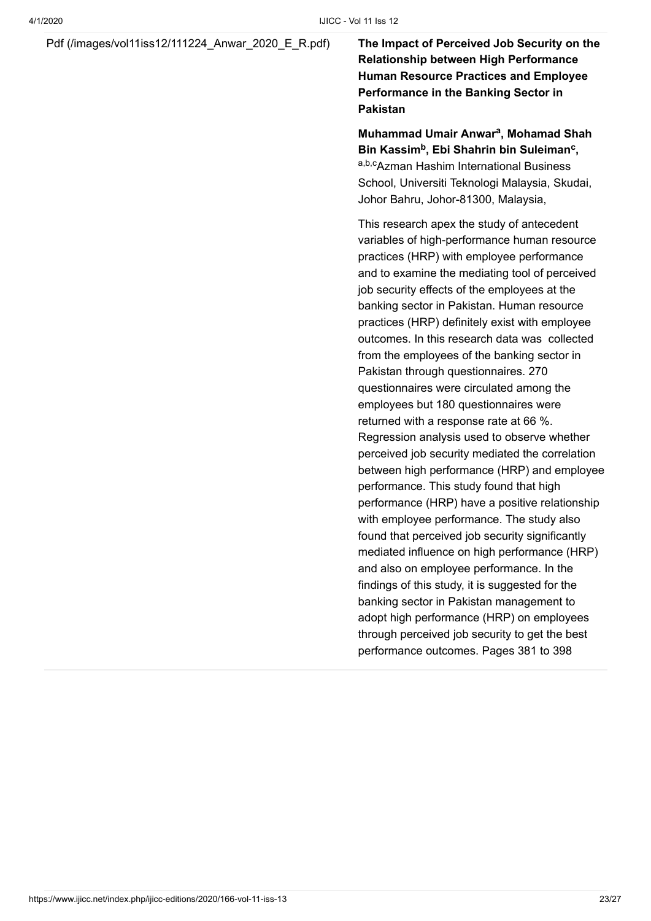[Pdf \(/images/vol11iss12/111224\\_Anwar\\_2020\\_E\\_R.pdf\)](https://www.ijicc.net/images/vol11iss12/111224_Anwar_2020_E_R.pdf) **The Impact of Perceived Job Security on the**

**Relationship between High Performance Human Resource Practices and Employee Performance in the Banking Sector in Pakistan**

**Muhammad Umair Anwar<sup>a</sup>, Mohamad Shah Bin Kassim<sup>b</sup>, Ebi Shahrin bin Suleiman<sup>c</sup>,** a,b,c<sub>Azman</sub> Hashim International Business School, Universiti Teknologi Malaysia, Skudai, Johor Bahru, Johor-81300, Malaysia,

This research apex the study of antecedent variables of high-performance human resource practices (HRP) with employee performance and to examine the mediating tool of perceived job security effects of the employees at the banking sector in Pakistan. Human resource practices (HRP) definitely exist with employee outcomes. In this research data was collected from the employees of the banking sector in Pakistan through questionnaires. 270 questionnaires were circulated among the employees but 180 questionnaires were returned with a response rate at 66 %. Regression analysis used to observe whether perceived job security mediated the correlation between high performance (HRP) and employee performance. This study found that high performance (HRP) have a positive relationship with employee performance. The study also found that perceived job security significantly mediated influence on high performance (HRP) and also on employee performance. In the findings of this study, it is suggested for the banking sector in Pakistan management to adopt high performance (HRP) on employees through perceived job security to get the best performance outcomes. Pages 381 to 398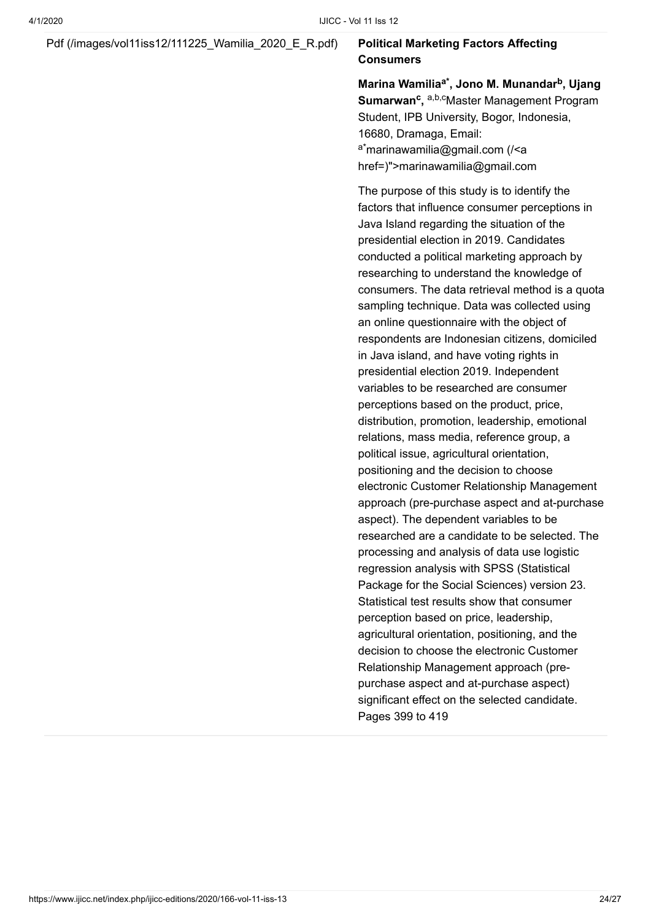#### [Pdf \(/images/vol11iss12/111225\\_Wamilia\\_2020\\_E\\_R.pdf\)](https://www.ijicc.net/images/vol11iss12/111225_Wamilia_2020_E_R.pdf) **Political Marketing Factors Affecting**

### **Consumers**

**Marina Wamilia<sup>a\*</sup>, Jono M. Munandar<sup>b</sup>, Ujang Sumarwan<sup>c</sup>, a,b,cMaster Management Program** Student, IPB University, Bogor, Indonesia, 16680, Dramaga, Email: <sup>a\*</sup>marinawamilia@gmail.com (/<a [href=\)">marinawamilia@gmail.co](https://www.ijicc.net/%3Ca%20href=)m

The purpose of this study is to identify the factors that influence consumer perceptions in Java Island regarding the situation of the presidential election in 2019. Candidates conducted a political marketing approach by researching to understand the knowledge of consumers. The data retrieval method is a quota sampling technique. Data was collected using an online questionnaire with the object of respondents are Indonesian citizens, domiciled in Java island, and have voting rights in presidential election 2019. Independent variables to be researched are consumer perceptions based on the product, price, distribution, promotion, leadership, emotional relations, mass media, reference group, a political issue, agricultural orientation, positioning and the decision to choose electronic Customer Relationship Management approach (pre-purchase aspect and at-purchase aspect). The dependent variables to be researched are a candidate to be selected. The processing and analysis of data use logistic regression analysis with SPSS (Statistical Package for the Social Sciences) version 23. Statistical test results show that consumer perception based on price, leadership, agricultural orientation, positioning, and the decision to choose the electronic Customer Relationship Management approach (prepurchase aspect and at-purchase aspect) significant effect on the selected candidate. Pages 399 to 419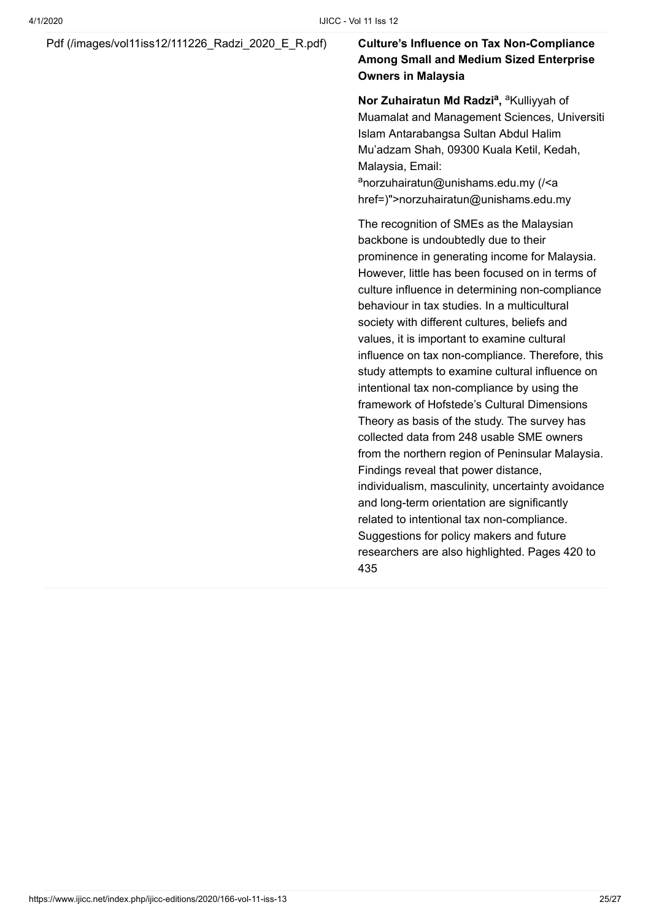#### [Pdf \(/images/vol11iss12/111226\\_Radzi\\_2020\\_E\\_R.pdf\)](https://www.ijicc.net/images/vol11iss12/111226_Radzi_2020_E_R.pdf) **Culture's Influence on Tax Non-Compliance**

### **Among Small and Medium Sized Enterprise Owners in Malaysia**

**Nor Zuhairatun Md Radzi<sup>a</sup>**, <sup>a</sup> Kulliyyah of Muamalat and Management Sciences, Universiti Islam Antarabangsa Sultan Abdul Halim Mu'adzam Shah, 09300 Kuala Ketil, Kedah, Malaysia, Email:

anorzuhairatun@unishams.edu.my (/<a [href=\)">norzuhairatun@unishams.edu.m](https://www.ijicc.net/%3Ca%20href=)y

The recognition of SMEs as the Malaysian backbone is undoubtedly due to their prominence in generating income for Malaysia. However, little has been focused on in terms of culture influence in determining non-compliance behaviour in tax studies. In a multicultural society with different cultures, beliefs and values, it is important to examine cultural influence on tax non-compliance. Therefore, this study attempts to examine cultural influence on intentional tax non-compliance by using the framework of Hofstede's Cultural Dimensions Theory as basis of the study. The survey has collected data from 248 usable SME owners from the northern region of Peninsular Malaysia. Findings reveal that power distance, individualism, masculinity, uncertainty avoidance and long-term orientation are significantly related to intentional tax non-compliance. Suggestions for policy makers and future researchers are also highlighted. Pages 420 to 435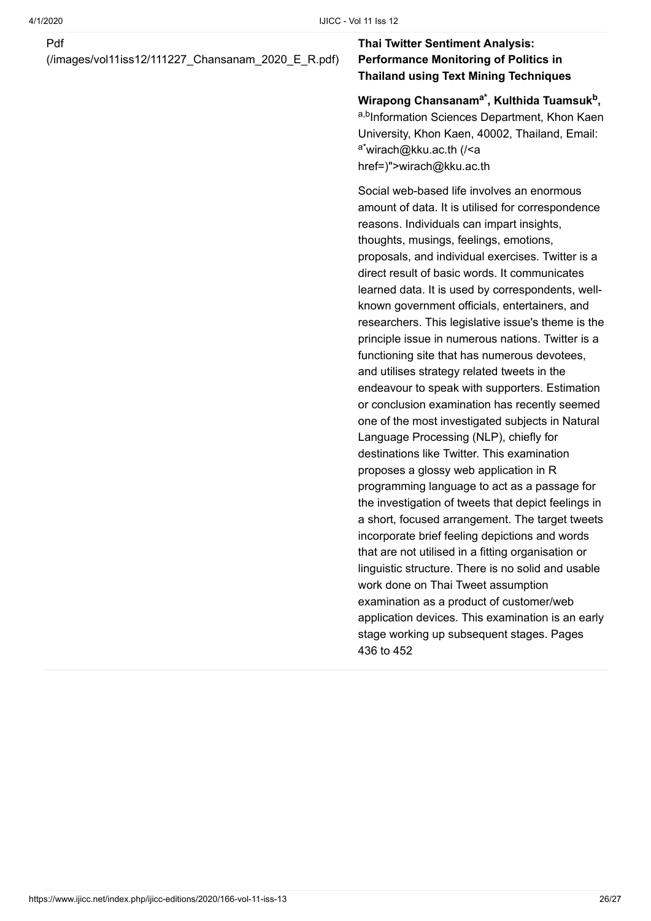#### Pdf

[\(/images/vol11iss12/111227\\_Chansanam\\_2020\\_E\\_R.pdf\)](https://www.ijicc.net/images/vol11iss12/111227_Chansanam_2020_E_R.pdf)

### **Thai Twitter Sentiment Analysis: Performance Monitoring of Politics in Thailand using Text Mining Techniques**

**Wirapong Chansanam , Kulthida Tuamsuk , a\* b** a,b<sub>Information Sciences Department, Khon Kaen</sub> University, Khon Kaen, 40002, Thailand, Email: <sup>a\*</sup>wirach@kku.ac.th (/<a [href=\)">wirach@kku.ac.](https://www.ijicc.net/%3Ca%20href=)th

Social web-based life involves an enormous amount of data. It is utilised for correspondence reasons. Individuals can impart insights, thoughts, musings, feelings, emotions, proposals, and individual exercises. Twitter is a direct result of basic words. It communicates learned data. It is used by correspondents, wellknown government officials, entertainers, and researchers. This legislative issue's theme is the principle issue in numerous nations. Twitter is a functioning site that has numerous devotees, and utilises strategy related tweets in the endeavour to speak with supporters. Estimation or conclusion examination has recently seemed one of the most investigated subjects in Natural Language Processing (NLP), chiefly for destinations like Twitter. This examination proposes a glossy web application in R programming language to act as a passage for the investigation of tweets that depict feelings in a short, focused arrangement. The target tweets incorporate brief feeling depictions and words that are not utilised in a fitting organisation or linguistic structure. There is no solid and usable work done on Thai Tweet assumption examination as a product of customer/web application devices. This examination is an early stage working up subsequent stages. Pages 436 to 452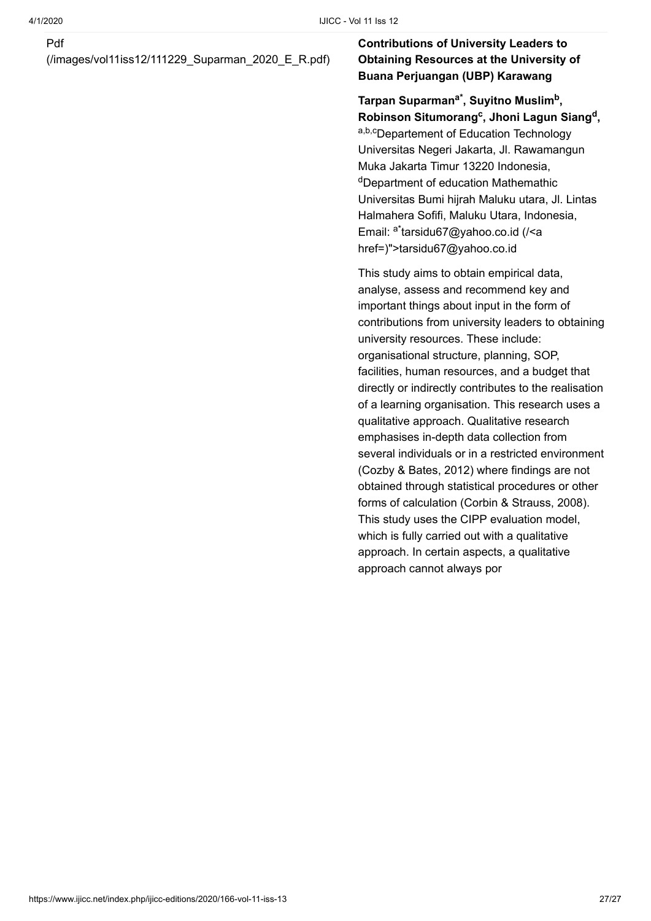#### Pdf

[\(/images/vol11iss12/111229\\_Suparman\\_2020\\_E\\_R.pdf\)](https://www.ijicc.net/images/vol11iss12/111229_Suparman_2020_E_R.pdf)

### **Contributions of University Leaders to Obtaining Resources at the University of Buana Perjuangan (UBP) Karawang**

Tarpan Suparman<sup>a\*</sup>, Suyitno Muslim<sup>b</sup>, **Robinson Situmorang**<sup>c</sup>, Jhoni Lagun Siang<sup>d</sup>, a,b,cDepartement of Education Technology Universitas Negeri Jakarta, Jl. Rawamangun Muka Jakarta Timur 13220 Indonesia, <sup>d</sup>Department of education Mathemathic Universitas Bumi hijrah Maluku utara, Jl. Lintas Halmahera Sofifi, Maluku Utara, Indonesia, Email: <sup>a\*</sup>tarsidu67@yahoo.co.id (/<a href=)">tarsidu67@yahoo.co.id

This study aims to obtain empirical data, analyse, assess and recommend key and important things about input in the form of contributions from university leaders to obtaining university resources. These include: organisational structure, planning, SOP, facilities, human resources, and a budget that directly or indirectly contributes to the realisation of a learning organisation. This research uses a qualitative approach. Qualitative research emphasises in-depth data collection from several individuals or in a restricted environment (Cozby & Bates, 2012) where findings are not obtained through statistical procedures or other forms of calculation (Corbin & Strauss, 2008). This study uses the CIPP evaluation model, which is fully carried out with a qualitative approach. In certain aspects, a qualitative approach cannot always por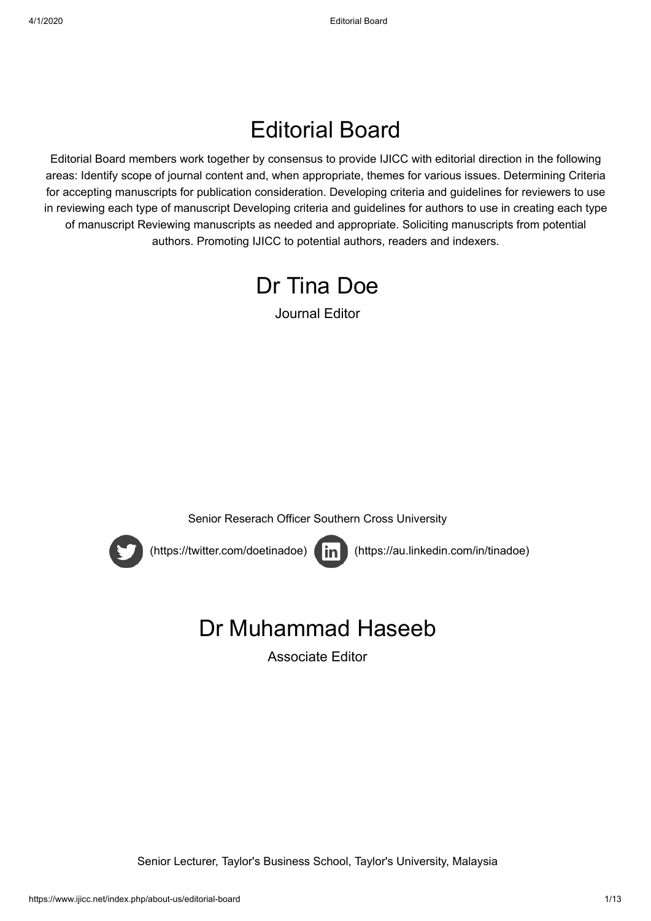### Editorial Board

Editorial Board members work together by consensus to provide IJICC with editorial direction in the following areas: Identify scope of journal content and, when appropriate, themes for various issues. Determining Criteria for accepting manuscripts for publication consideration. Developing criteria and guidelines for reviewers to use in reviewing each type of manuscript Developing criteria and guidelines for authors to use in creating each type of manuscript Reviewing manuscripts as needed and appropriate. Soliciting manuscripts from potential authors. Promoting IJICC to potential authors, readers and indexers.



Journal Editor







 [\(https://twitter.com/doetinadoe\)](https://twitter.com/doetinadoe) [\(https://au.linkedin.com/in/tinadoe\)](https://au.linkedin.com/in/tinadoe)

### Dr Muhammad Haseeb

Associate Editor

Senior Lecturer, Taylor's Business School, Taylor's University, Malaysia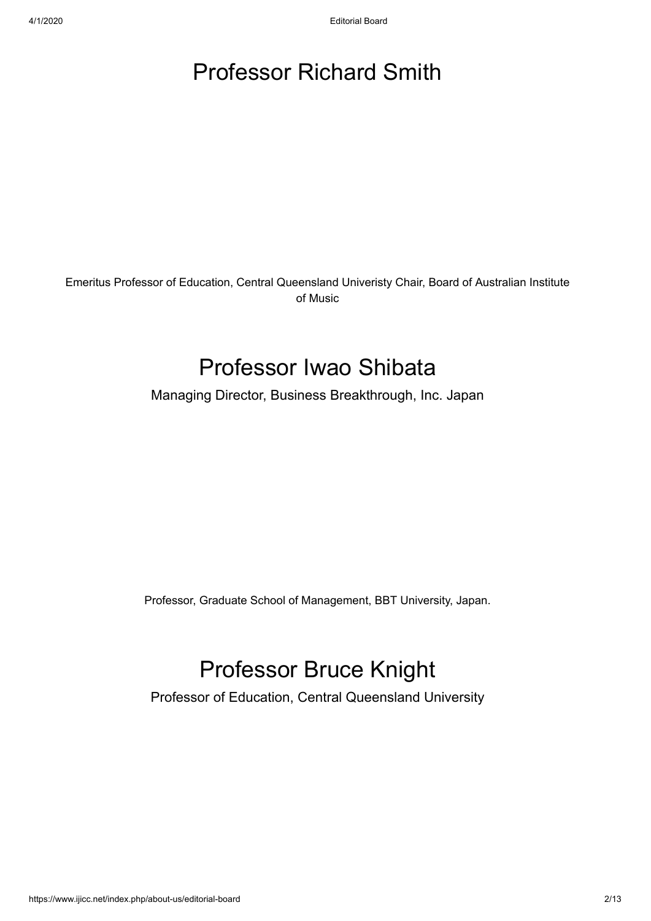### Professor Richard Smith

Emeritus Professor of Education, Central Queensland Univeristy Chair, Board of Australian Institute of Music

### Professor Iwao Shibata

Managing Director, Business Breakthrough, Inc. Japan

Professor, Graduate School of Management, BBT University, Japan.

### Professor Bruce Knight

Professor of Education, Central Queensland University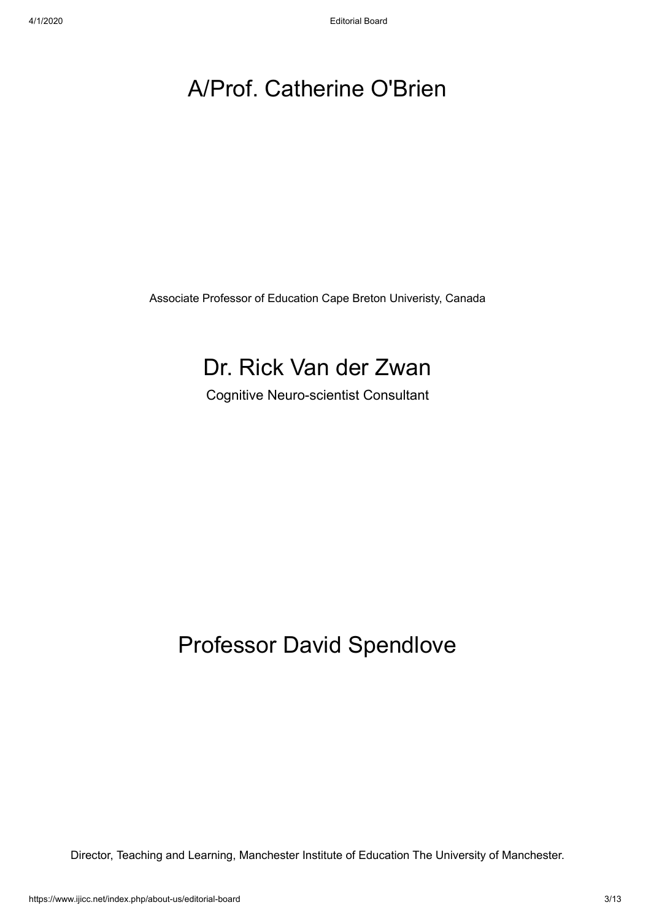### A/Prof. Catherine O'Brien

Associate Professor of Education Cape Breton Univeristy, Canada

### Dr. Rick Van der Zwan

Cognitive Neuro-scientist Consultant

### Professor David Spendlove

Director, Teaching and Learning, Manchester Institute of Education The University of Manchester.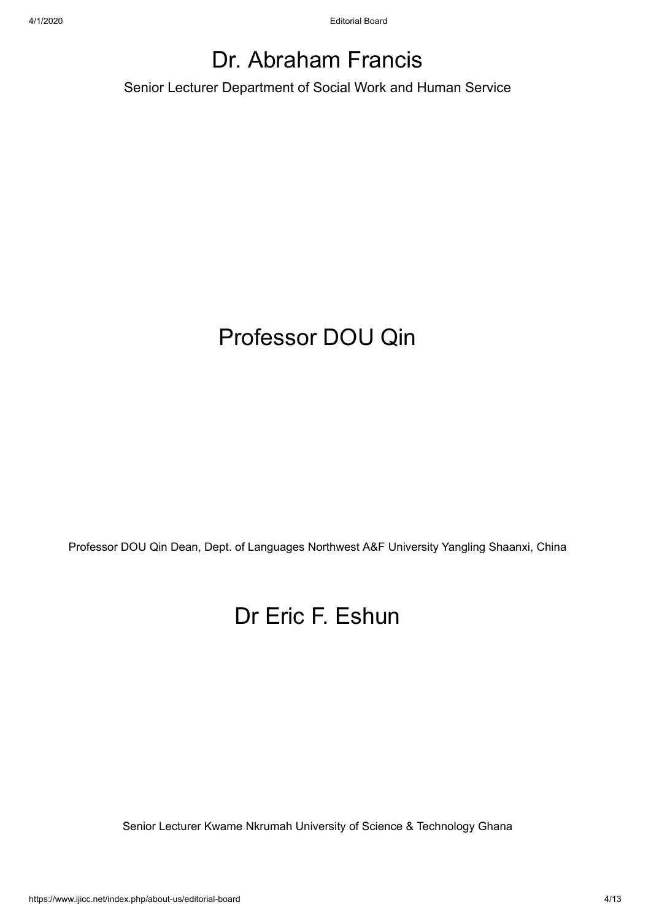### Dr. Abraham Francis

Senior Lecturer Department of Social Work and Human Service

### Professor DOU Qin

Professor DOU Qin Dean, Dept. of Languages Northwest A&F University Yangling Shaanxi, China

### Dr Eric F. Eshun

Senior Lecturer Kwame Nkrumah University of Science & Technology Ghana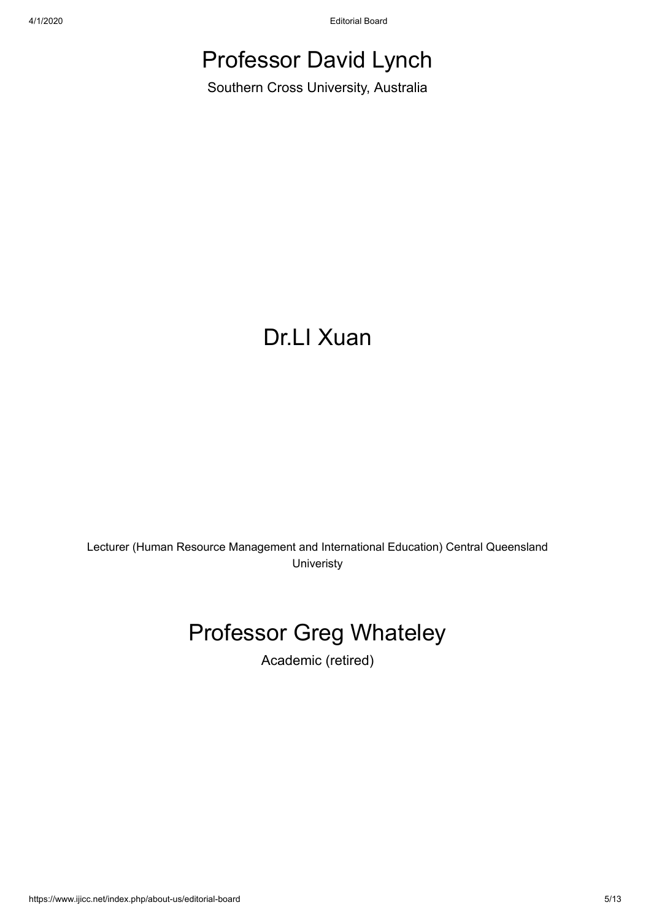4/1/2020 Editorial Board

### Professor David Lynch

Southern Cross University, Australia

### Dr.LI Xuan

Lecturer (Human Resource Management and International Education) Central Queensland **Univeristy** 

### Professor Greg Whateley

Academic (retired)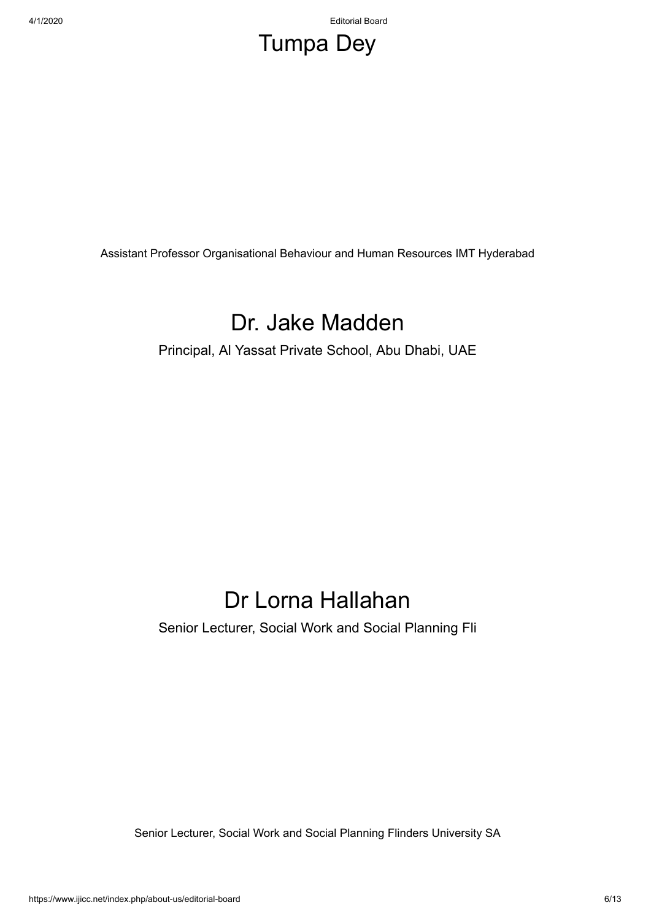4/1/2020 Editorial Board

### Tumpa Dey

Assistant Professor Organisational Behaviour and Human Resources IMT Hyderabad

### Dr. Jake Madden

Principal, Al Yassat Private School, Abu Dhabi, UAE

### Dr Lorna Hallahan

Senior Lecturer, Social Work and Social Planning Fli

Senior Lecturer, Social Work and Social Planning Flinders University SA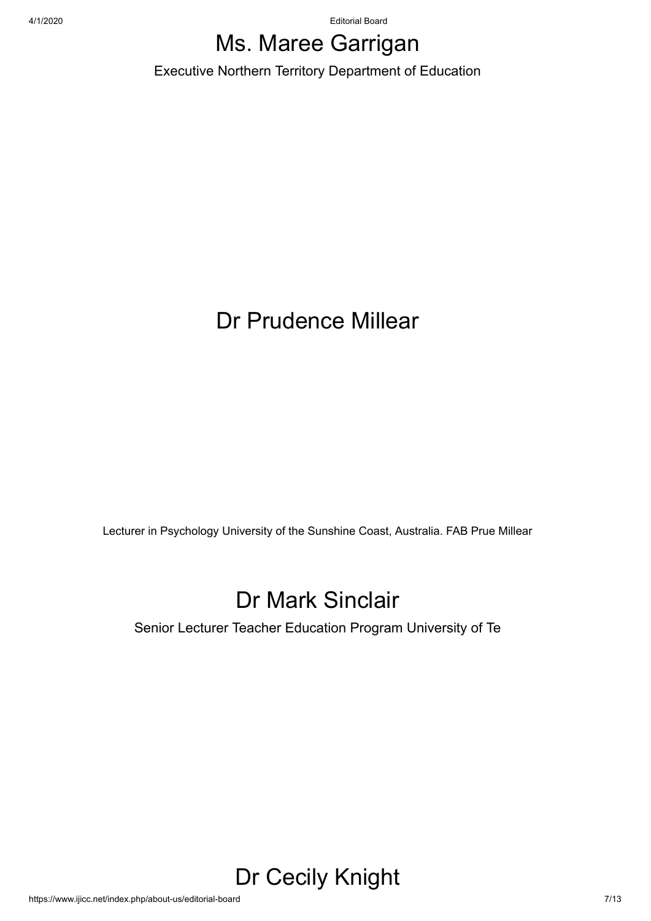4/1/2020 Editorial Board

### Ms. Maree Garrigan

Executive Northern Territory Department of Education

### Dr Prudence Millear

Lecturer in Psychology University of the Sunshine Coast, Australia. FAB Prue Millear

### Dr Mark Sinclair

Senior Lecturer Teacher Education Program University of Te

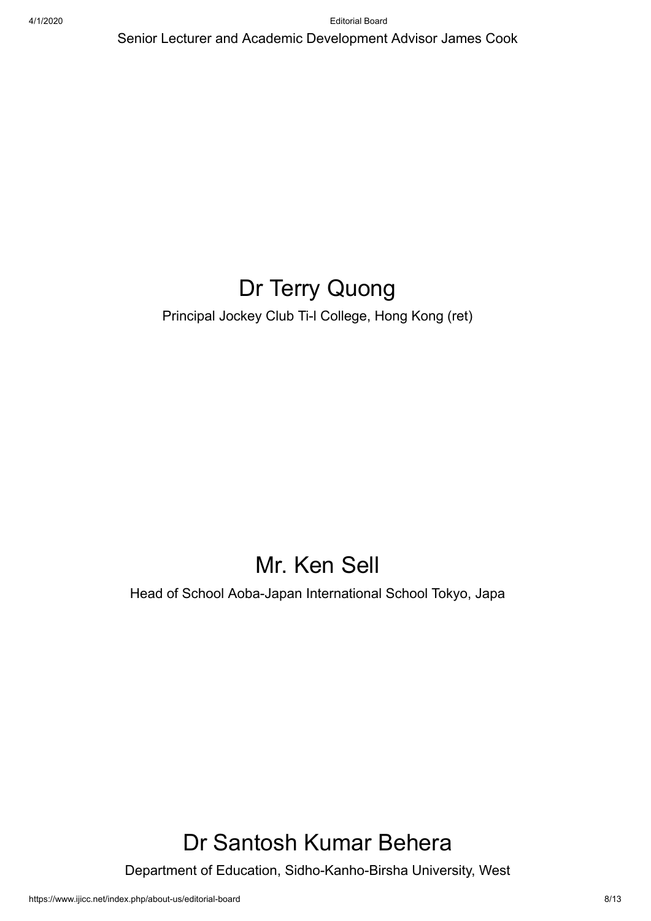Senior Lecturer and Academic Development Advisor James Cook

### Dr Terry Quong

Principal Jockey Club Ti-l College, Hong Kong (ret)

### Mr. Ken Sell

Head of School Aoba-Japan International School Tokyo, Japa

### Dr Santosh Kumar Behera

Department of Education, Sidho-Kanho-Birsha University, West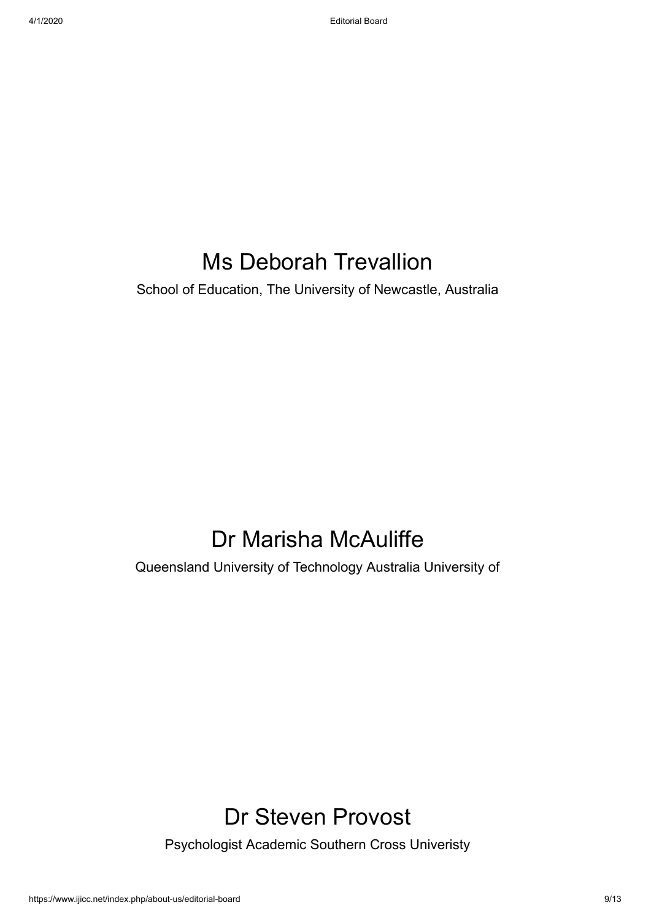### Ms Deborah Trevallion

School of Education, The University of Newcastle, Australia

### Dr Marisha McAuliffe

Queensland University of Technology Australia University of

### Dr Steven Provost

Psychologist Academic Southern Cross Univeristy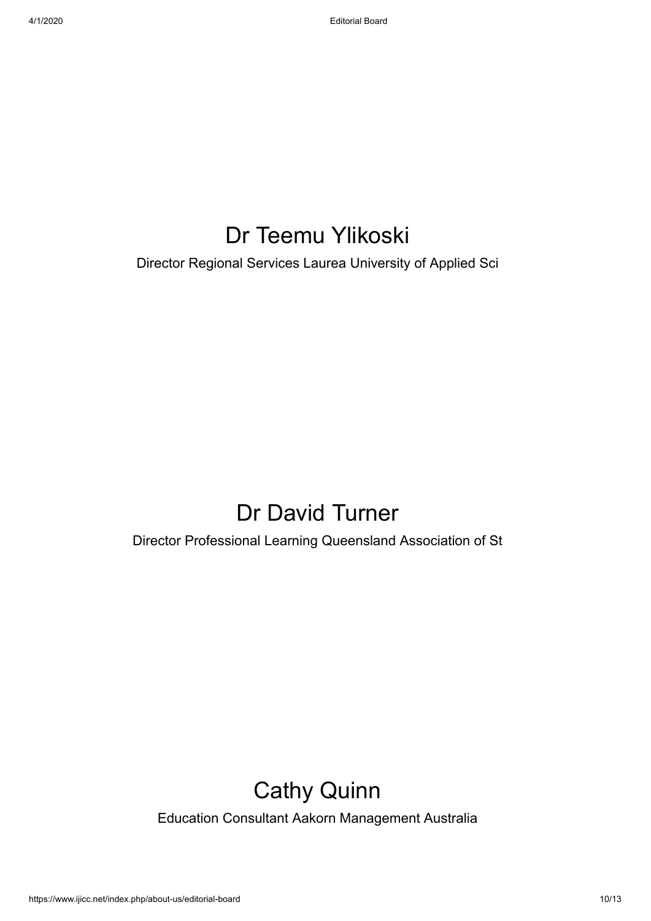### Dr Teemu Ylikoski

Director Regional Services Laurea University of Applied Sci

### Dr David Turner

Director Professional Learning Queensland Association of St

### Cathy Quinn

Education Consultant Aakorn Management Australia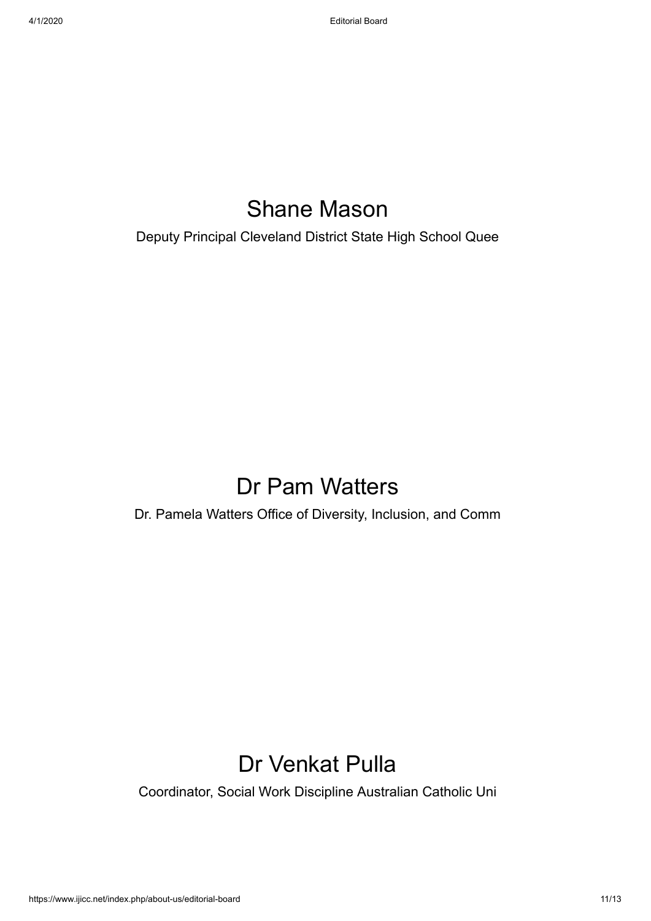### Shane Mason

Deputy Principal Cleveland District State High School Quee

### Dr Pam Watters

Dr. Pamela Watters Office of Diversity, Inclusion, and Comm

### Dr Venkat Pulla

Coordinator, Social Work Discipline Australian Catholic Uni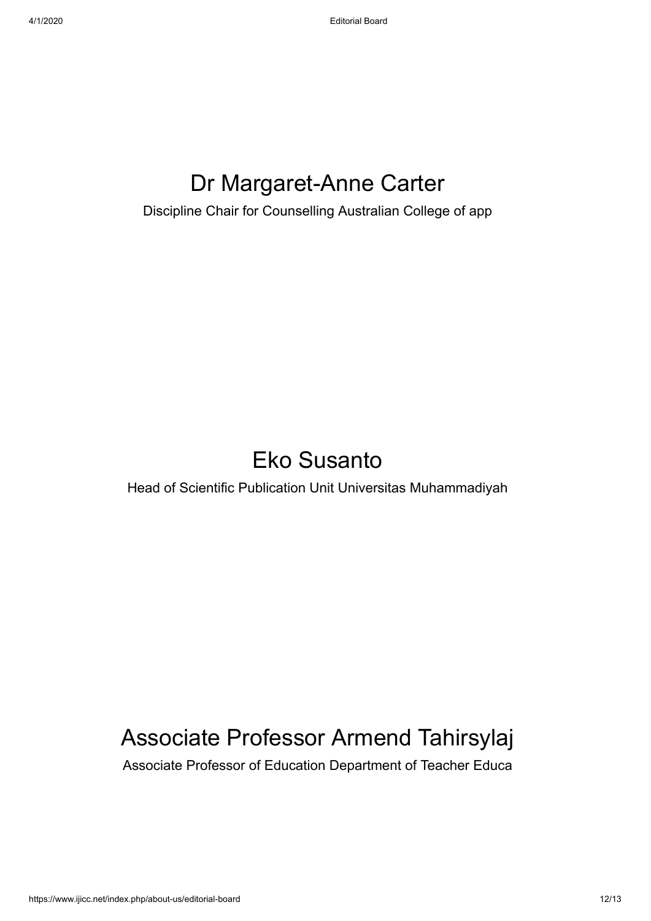### Dr Margaret-Anne Carter

Discipline Chair for Counselling Australian College of app

### Eko Susanto

Head of Scientific Publication Unit Universitas Muhammadiyah

### Associate Professor Armend Tahirsylaj

Associate Professor of Education Department of Teacher Educa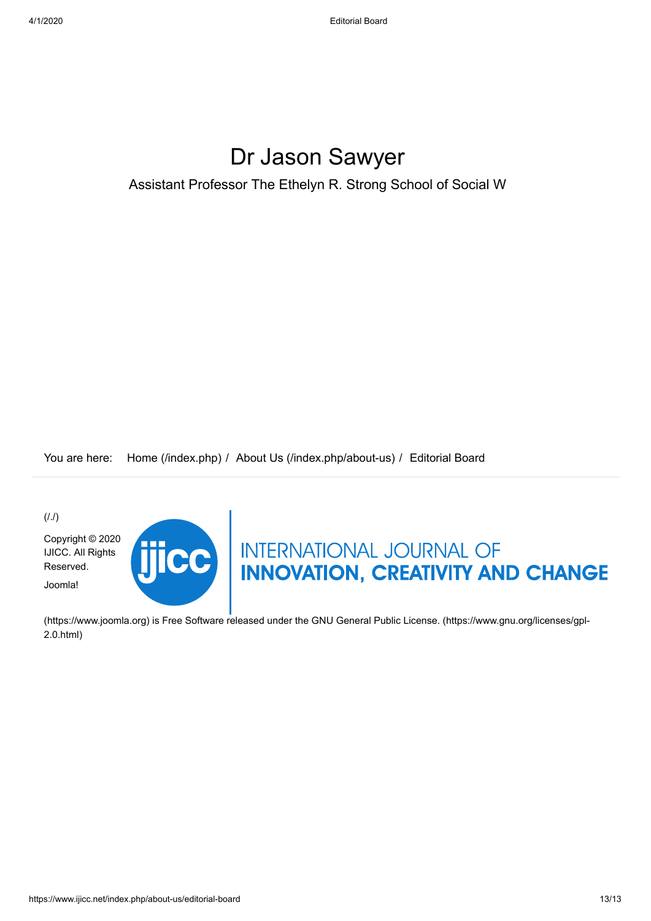### Dr Jason Sawyer

Assistant Professor The Ethelyn R. Strong School of Social W

You are here: [Home \(/index.php\)](https://www.ijicc.net/index.php) / [About Us \(/index.php/about-us\)](https://www.ijicc.net/index.php/about-us) / Editorial Board

 $(1.1)$ 

[Copyright © 2020](https://www.ijicc.net/) IJICC. All Rights Reserved. Joomla!



# THERE INTERNATIONAL JOURNAL OF

[\(https://www.joomla.org\)](https://www.joomla.org/) [is Free Software released under the GNU General Public License. \(https://www.gnu.org/licenses/gpl-](https://www.gnu.org/licenses/gpl-2.0.html)2.0.html)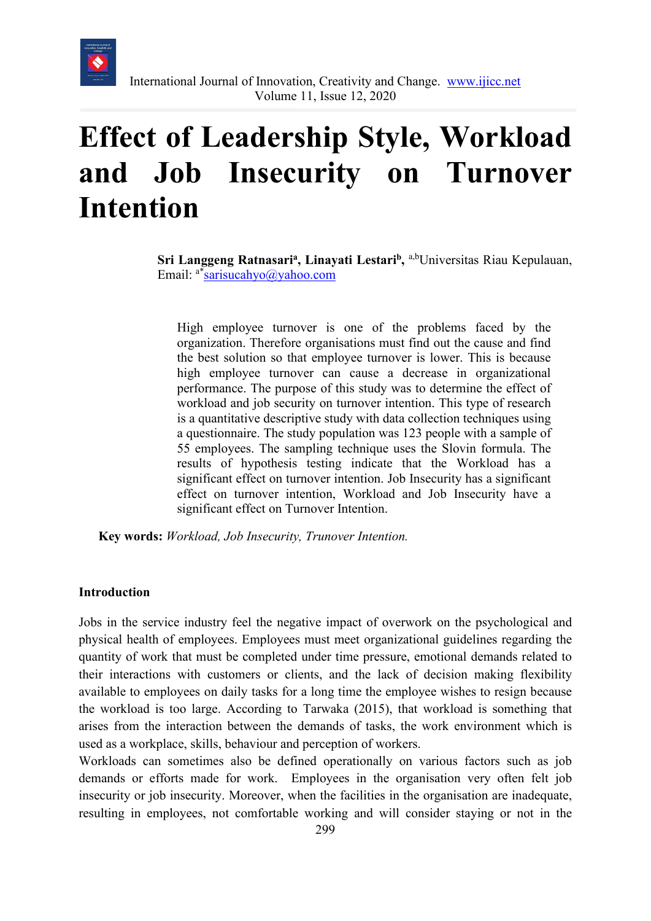

### **Effect of Leadership Style, Workload and Job Insecurity on Turnover Intention**

Sri Langgeng Ratnasari<sup>a</sup>, Linayati Lestari<sup>b</sup>, <sup>a,b</sup>Universitas Riau Kepulauan, Email: a[\\*sarisucahyo@yahoo.com](mailto:sarisucahyo@yahoo.com)

High employee turnover is one of the problems faced by the organization. Therefore organisations must find out the cause and find the best solution so that employee turnover is lower. This is because high employee turnover can cause a decrease in organizational performance. The purpose of this study was to determine the effect of workload and job security on turnover intention. This type of research is a quantitative descriptive study with data collection techniques using a questionnaire. The study population was 123 people with a sample of 55 employees. The sampling technique uses the Slovin formula. The results of hypothesis testing indicate that the Workload has a significant effect on turnover intention. Job Insecurity has a significant effect on turnover intention, Workload and Job Insecurity have a significant effect on Turnover Intention.

**Key words:** *Workload, Job Insecurity, Trunover Intention.*

#### **Introduction**

Jobs in the service industry feel the negative impact of overwork on the psychological and physical health of employees. Employees must meet organizational guidelines regarding the quantity of work that must be completed under time pressure, emotional demands related to their interactions with customers or clients, and the lack of decision making flexibility available to employees on daily tasks for a long time the employee wishes to resign because the workload is too large. According to Tarwaka (2015), that workload is something that arises from the interaction between the demands of tasks, the work environment which is used as a workplace, skills, behaviour and perception of workers.

Workloads can sometimes also be defined operationally on various factors such as job demands or efforts made for work. Employees in the organisation very often felt job insecurity or job insecurity. Moreover, when the facilities in the organisation are inadequate, resulting in employees, not comfortable working and will consider staying or not in the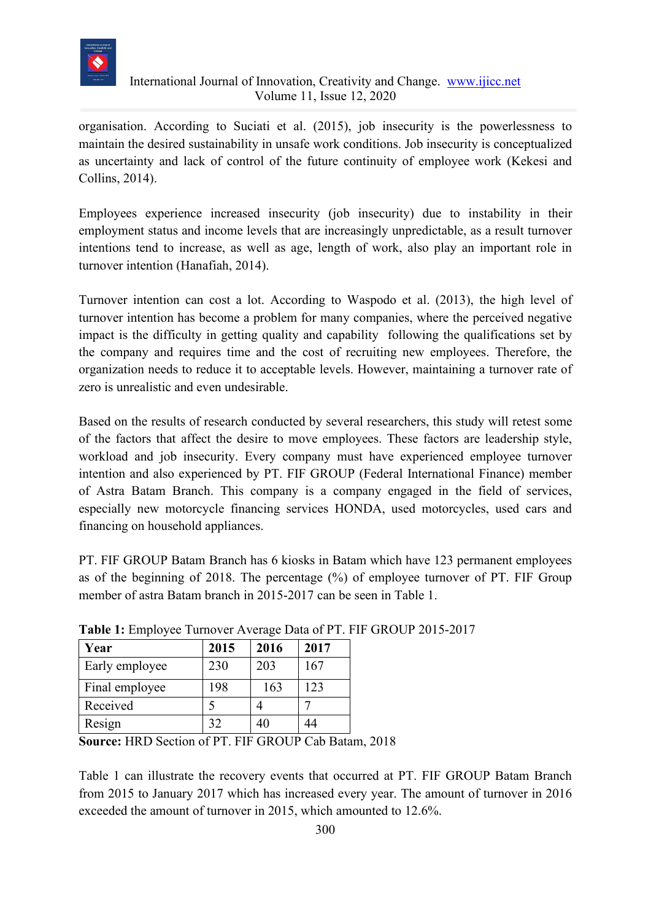

organisation. According to Suciati et al. (2015), job insecurity is the powerlessness to maintain the desired sustainability in unsafe work conditions. Job insecurity is conceptualized as uncertainty and lack of control of the future continuity of employee work (Kekesi and Collins, 2014).

Employees experience increased insecurity (job insecurity) due to instability in their employment status and income levels that are increasingly unpredictable, as a result turnover intentions tend to increase, as well as age, length of work, also play an important role in turnover intention (Hanafiah, 2014).

Turnover intention can cost a lot. According to Waspodo et al. (2013), the high level of turnover intention has become a problem for many companies, where the perceived negative impact is the difficulty in getting quality and capability following the qualifications set by the company and requires time and the cost of recruiting new employees. Therefore, the organization needs to reduce it to acceptable levels. However, maintaining a turnover rate of zero is unrealistic and even undesirable.

Based on the results of research conducted by several researchers, this study will retest some of the factors that affect the desire to move employees. These factors are leadership style, workload and job insecurity. Every company must have experienced employee turnover intention and also experienced by PT. FIF GROUP (Federal International Finance) member of Astra Batam Branch. This company is a company engaged in the field of services, especially new motorcycle financing services HONDA, used motorcycles, used cars and financing on household appliances.

PT. FIF GROUP Batam Branch has 6 kiosks in Batam which have 123 permanent employees as of the beginning of 2018. The percentage (%) of employee turnover of PT. FIF Group member of astra Batam branch in 2015-2017 can be seen in Table 1.

| Year           | 2015 | 2016 | 2017 |
|----------------|------|------|------|
| Early employee | 230  | 203  | 167  |
| Final employee | 198  | 163  | 123  |
| Received       |      |      |      |
| Resign         | 32   |      | 44   |

**Table 1:** Employee Turnover Average Data of PT. FIF GROUP 2015-2017

**Source:** HRD Section of PT. FIF GROUP Cab Batam, 2018

Table 1 can illustrate the recovery events that occurred at PT. FIF GROUP Batam Branch from 2015 to January 2017 which has increased every year. The amount of turnover in 2016 exceeded the amount of turnover in 2015, which amounted to 12.6%.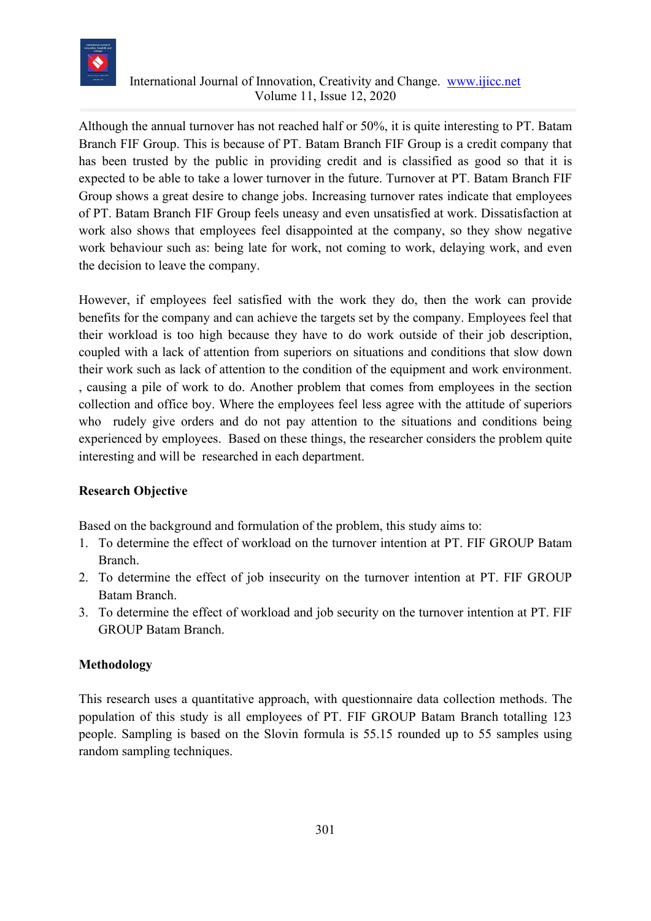

Although the annual turnover has not reached half or 50%, it is quite interesting to PT. Batam Branch FIF Group. This is because of PT. Batam Branch FIF Group is a credit company that has been trusted by the public in providing credit and is classified as good so that it is expected to be able to take a lower turnover in the future. Turnover at PT. Batam Branch FIF Group shows a great desire to change jobs. Increasing turnover rates indicate that employees of PT. Batam Branch FIF Group feels uneasy and even unsatisfied at work. Dissatisfaction at work also shows that employees feel disappointed at the company, so they show negative work behaviour such as: being late for work, not coming to work, delaying work, and even the decision to leave the company.

However, if employees feel satisfied with the work they do, then the work can provide benefits for the company and can achieve the targets set by the company. Employees feel that their workload is too high because they have to do work outside of their job description, coupled with a lack of attention from superiors on situations and conditions that slow down their work such as lack of attention to the condition of the equipment and work environment. , causing a pile of work to do. Another problem that comes from employees in the section collection and office boy. Where the employees feel less agree with the attitude of superiors who rudely give orders and do not pay attention to the situations and conditions being experienced by employees. Based on these things, the researcher considers the problem quite interesting and will be researched in each department.

### **Research Objective**

Based on the background and formulation of the problem, this study aims to:

- 1. To determine the effect of workload on the turnover intention at PT. FIF GROUP Batam Branch.
- 2. To determine the effect of job insecurity on the turnover intention at PT. FIF GROUP Batam Branch.
- 3. To determine the effect of workload and job security on the turnover intention at PT. FIF GROUP Batam Branch.

### **Methodology**

This research uses a quantitative approach, with questionnaire data collection methods. The population of this study is all employees of PT. FIF GROUP Batam Branch totalling 123 people. Sampling is based on the Slovin formula is 55.15 rounded up to 55 samples using random sampling techniques.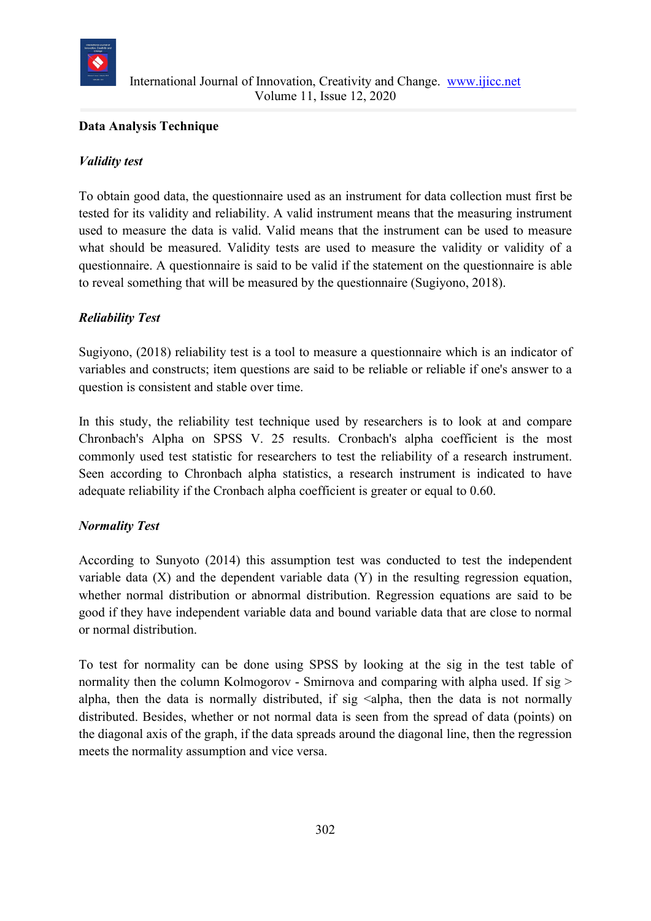

### **Data Analysis Technique**

### *Validity test*

To obtain good data, the questionnaire used as an instrument for data collection must first be tested for its validity and reliability. A valid instrument means that the measuring instrument used to measure the data is valid. Valid means that the instrument can be used to measure what should be measured. Validity tests are used to measure the validity or validity of a questionnaire. A questionnaire is said to be valid if the statement on the questionnaire is able to reveal something that will be measured by the questionnaire (Sugiyono, 2018).

### *Reliability Test*

Sugiyono, (2018) reliability test is a tool to measure a questionnaire which is an indicator of variables and constructs; item questions are said to be reliable or reliable if one's answer to a question is consistent and stable over time.

In this study, the reliability test technique used by researchers is to look at and compare Chronbach's Alpha on SPSS V. 25 results. Cronbach's alpha coefficient is the most commonly used test statistic for researchers to test the reliability of a research instrument. Seen according to Chronbach alpha statistics, a research instrument is indicated to have adequate reliability if the Cronbach alpha coefficient is greater or equal to 0.60.

### *Normality Test*

According to Sunyoto (2014) this assumption test was conducted to test the independent variable data (X) and the dependent variable data (Y) in the resulting regression equation, whether normal distribution or abnormal distribution. Regression equations are said to be good if they have independent variable data and bound variable data that are close to normal or normal distribution.

To test for normality can be done using SPSS by looking at the sig in the test table of normality then the column Kolmogorov - Smirnova and comparing with alpha used. If sig > alpha, then the data is normally distributed, if sig  $\leq$ alpha, then the data is not normally distributed. Besides, whether or not normal data is seen from the spread of data (points) on the diagonal axis of the graph, if the data spreads around the diagonal line, then the regression meets the normality assumption and vice versa.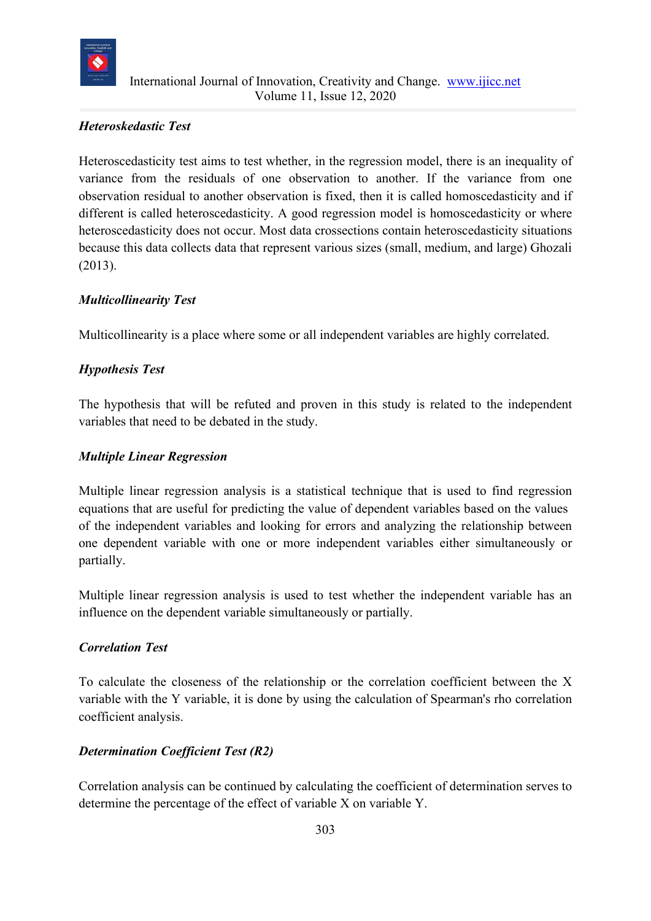

### *Heteroskedastic Test*

Heteroscedasticity test aims to test whether, in the regression model, there is an inequality of variance from the residuals of one observation to another. If the variance from one observation residual to another observation is fixed, then it is called homoscedasticity and if different is called heteroscedasticity. A good regression model is homoscedasticity or where heteroscedasticity does not occur. Most data crossections contain heteroscedasticity situations because this data collects data that represent various sizes (small, medium, and large) Ghozali (2013).

### *Multicollinearity Test*

Multicollinearity is a place where some or all independent variables are highly correlated.

### *Hypothesis Test*

The hypothesis that will be refuted and proven in this study is related to the independent variables that need to be debated in the study.

### *Multiple Linear Regression*

Multiple linear regression analysis is a statistical technique that is used to find regression equations that are useful for predicting the value of dependent variables based on the values of the independent variables and looking for errors and analyzing the relationship between one dependent variable with one or more independent variables either simultaneously or partially.

Multiple linear regression analysis is used to test whether the independent variable has an influence on the dependent variable simultaneously or partially.

### *Correlation Test*

To calculate the closeness of the relationship or the correlation coefficient between the X variable with the Y variable, it is done by using the calculation of Spearman's rho correlation coefficient analysis.

### *Determination Coefficient Test (R2)*

Correlation analysis can be continued by calculating the coefficient of determination serves to determine the percentage of the effect of variable X on variable Y.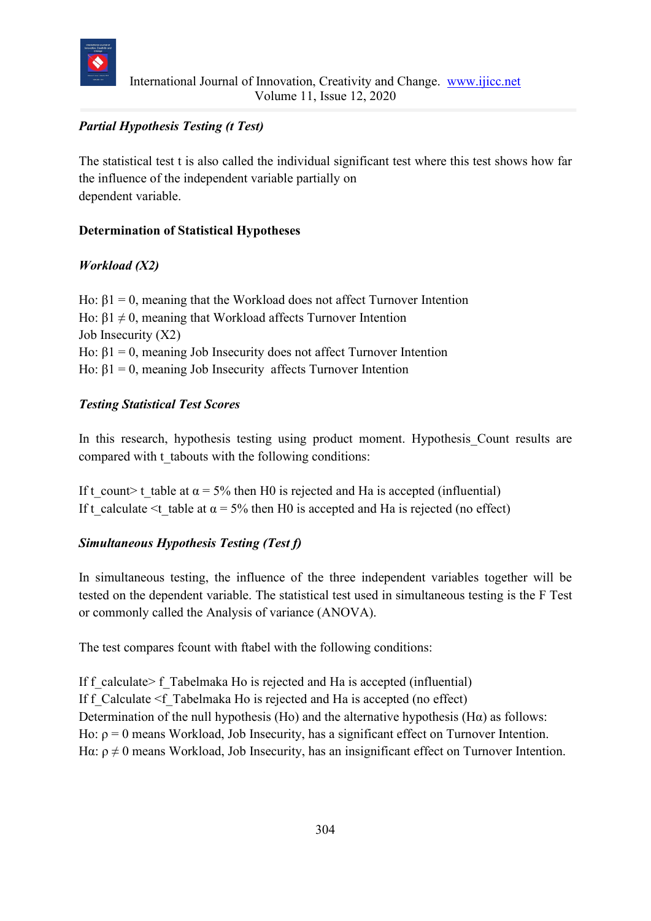

### *Partial Hypothesis Testing (t Test)*

The statistical test t is also called the individual significant test where this test shows how far the influence of the independent variable partially on dependent variable.

### **Determination of Statistical Hypotheses**

### *Workload (X2)*

Ho:  $β1 = 0$ , meaning that the Workload does not affect Turnover Intention Ho:  $β1 ≠ 0$ , meaning that Workload affects Turnover Intention Job Insecurity (X2) Ho:  $β1 = 0$ , meaning Job Insecurity does not affect Turnover Intention Ho:  $β1 = 0$ , meaning Job Insecurity affects Turnover Intention

### *Testing Statistical Test Scores*

In this research, hypothesis testing using product moment. Hypothesis Count results are compared with t tabouts with the following conditions:

If t count> t table at  $\alpha = 5\%$  then H0 is rejected and Ha is accepted (influential) If t calculate  $\leq t$  table at  $\alpha = 5\%$  then H0 is accepted and Ha is rejected (no effect)

### *Simultaneous Hypothesis Testing (Test f)*

In simultaneous testing, the influence of the three independent variables together will be tested on the dependent variable. The statistical test used in simultaneous testing is the F Test or commonly called the Analysis of variance (ANOVA).

The test compares fcount with ftabel with the following conditions:

If f calculate  $\geq$  f Tabelmaka Ho is rejected and Ha is accepted (influential) If f Calculate <f Tabelmaka Ho is rejected and Ha is accepted (no effect) Determination of the null hypothesis (Ho) and the alternative hypothesis (H $\alpha$ ) as follows: Ho:  $\rho = 0$  means Workload, Job Insecurity, has a significant effect on Turnover Intention. Hα:  $\rho \neq 0$  means Workload, Job Insecurity, has an insignificant effect on Turnover Intention.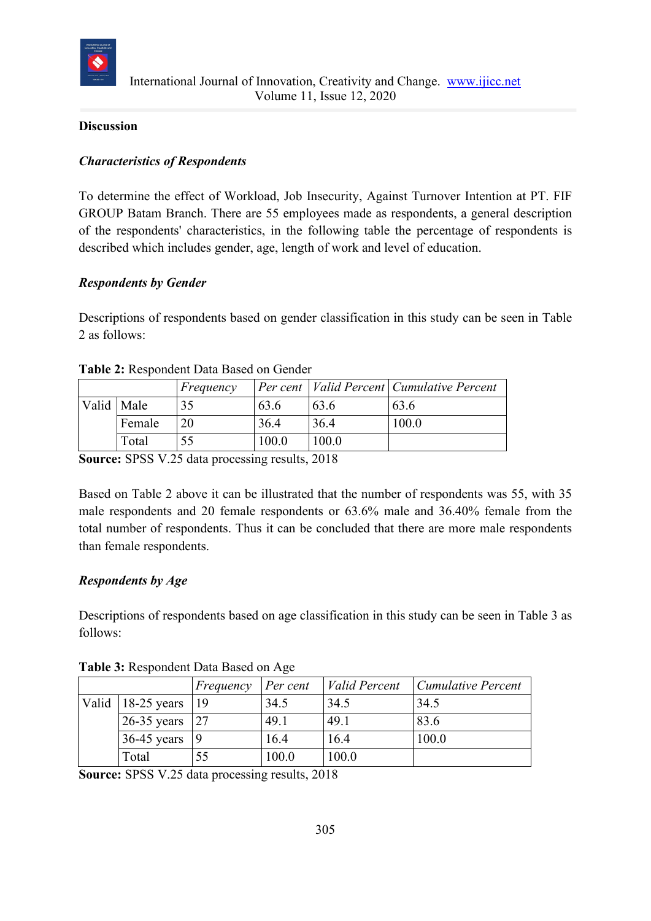

### **Discussion**

### *Characteristics of Respondents*

To determine the effect of Workload, Job Insecurity, Against Turnover Intention at PT. FIF GROUP Batam Branch. There are 55 employees made as respondents, a general description of the respondents' characteristics, in the following table the percentage of respondents is described which includes gender, age, length of work and level of education.

### *Respondents by Gender*

Descriptions of respondents based on gender classification in this study can be seen in Table 2 as follows:

|            |        | Frequency |       |       | Per cent   Valid Percent   Cumulative Percent |
|------------|--------|-----------|-------|-------|-----------------------------------------------|
| Valid Male |        | 35        | 63.6  | 63.6  | 63.6                                          |
|            | Female | 20        | 36.4  | 36.4  | 100.0                                         |
|            | Total  |           | 100.0 | 100.0 |                                               |

#### **Table 2:** Respondent Data Based on Gender

**Source:** SPSS V.25 data processing results, 2018

Based on Table 2 above it can be illustrated that the number of respondents was 55, with 35 male respondents and 20 female respondents or 63.6% male and 36.40% female from the total number of respondents. Thus it can be concluded that there are more male respondents than female respondents.

### *Respondents by Age*

Descriptions of respondents based on age classification in this study can be seen in Table 3 as follows:

|                                   | Frequency | Per cent | <i>Valid Percent</i> | <b>Cumulative Percent</b> |
|-----------------------------------|-----------|----------|----------------------|---------------------------|
| $\vert$ Valid $\vert$ 18-25 years | -19       | 34.5     | 34.5                 | 34.5                      |
| 26-35 years $ 27$                 |           | 49.1     | 49.1                 | 83.6                      |
| $36-45$ years                     |           | 16.4     | 16.4                 | 100.0                     |
| Total                             | 55        | 100.0    | 100.0                |                           |

**Table 3:** Respondent Data Based on Age

**Source:** SPSS V.25 data processing results, 2018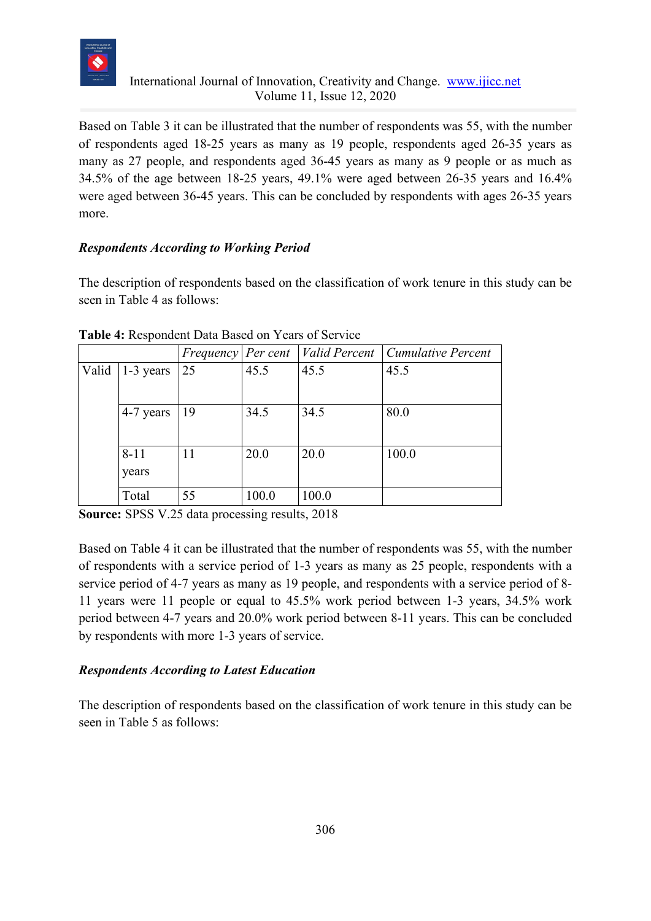

Based on Table 3 it can be illustrated that the number of respondents was 55, with the number of respondents aged 18-25 years as many as 19 people, respondents aged 26-35 years as many as 27 people, and respondents aged 36-45 years as many as 9 people or as much as 34.5% of the age between 18-25 years, 49.1% were aged between 26-35 years and 16.4% were aged between 36-45 years. This can be concluded by respondents with ages 26-35 years more.

### *Respondents According to Working Period*

The description of respondents based on the classification of work tenure in this study can be seen in Table 4 as follows:

|       |                   | Frequency   Per cent |       |       | <i>Valid Percent Cumulative Percent</i> |
|-------|-------------------|----------------------|-------|-------|-----------------------------------------|
| Valid | $\vert$ 1-3 years | 25                   | 45.5  | 45.5  | 45.5                                    |
|       | 4-7 years         | 19                   | 34.5  | 34.5  | 80.0                                    |
|       | $8 - 11$<br>years | 11                   | 20.0  | 20.0  | 100.0                                   |
|       | Total             | 55                   | 100.0 | 100.0 |                                         |

**Table 4:** Respondent Data Based on Years of Service

**Source:** SPSS V.25 data processing results, 2018

Based on Table 4 it can be illustrated that the number of respondents was 55, with the number of respondents with a service period of 1-3 years as many as 25 people, respondents with a service period of 4-7 years as many as 19 people, and respondents with a service period of 8- 11 years were 11 people or equal to 45.5% work period between 1-3 years, 34.5% work period between 4-7 years and 20.0% work period between 8-11 years. This can be concluded by respondents with more 1-3 years of service.

### *Respondents According to Latest Education*

The description of respondents based on the classification of work tenure in this study can be seen in Table 5 as follows: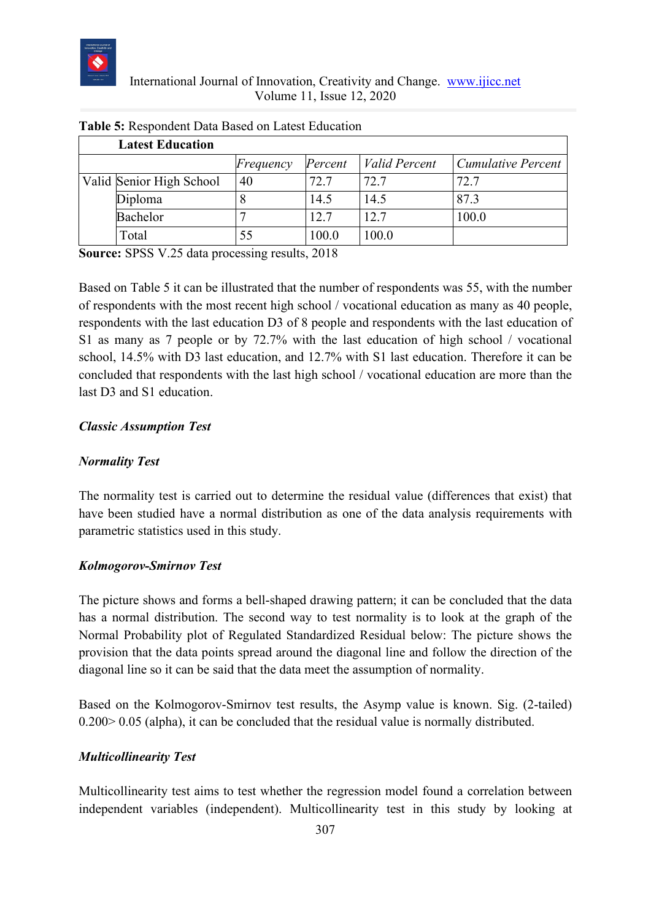

| <b>Latest Education</b>  |           |         |                      |                           |
|--------------------------|-----------|---------|----------------------|---------------------------|
|                          | Frequency | Percent | <i>Valid Percent</i> | <b>Cumulative Percent</b> |
| Valid Senior High School | 40        | 72.7    | 72.7                 | 72.7                      |
| Diploma                  |           | 14.5    | 14.5                 | 87.3                      |
| Bachelor                 |           | 12.7    | 12.7                 | 100.0                     |
| Total                    |           | 100.0   | 100.0                |                           |

#### **Table 5:** Respondent Data Based on Latest Education

**Source:** SPSS V.25 data processing results, 2018

Based on Table 5 it can be illustrated that the number of respondents was 55, with the number of respondents with the most recent high school / vocational education as many as 40 people, respondents with the last education D3 of 8 people and respondents with the last education of S1 as many as 7 people or by 72.7% with the last education of high school / vocational school, 14.5% with D3 last education, and 12.7% with S1 last education. Therefore it can be concluded that respondents with the last high school / vocational education are more than the last D3 and S1 education.

#### *Classic Assumption Test*

#### *Normality Test*

The normality test is carried out to determine the residual value (differences that exist) that have been studied have a normal distribution as one of the data analysis requirements with parametric statistics used in this study.

#### *Kolmogorov-Smirnov Test*

The picture shows and forms a bell-shaped drawing pattern; it can be concluded that the data has a normal distribution. The second way to test normality is to look at the graph of the Normal Probability plot of Regulated Standardized Residual below: The picture shows the provision that the data points spread around the diagonal line and follow the direction of the diagonal line so it can be said that the data meet the assumption of normality.

Based on the Kolmogorov-Smirnov test results, the Asymp value is known. Sig. (2-tailed) 0.200> 0.05 (alpha), it can be concluded that the residual value is normally distributed.

### *Multicollinearity Test*

Multicollinearity test aims to test whether the regression model found a correlation between independent variables (independent). Multicollinearity test in this study by looking at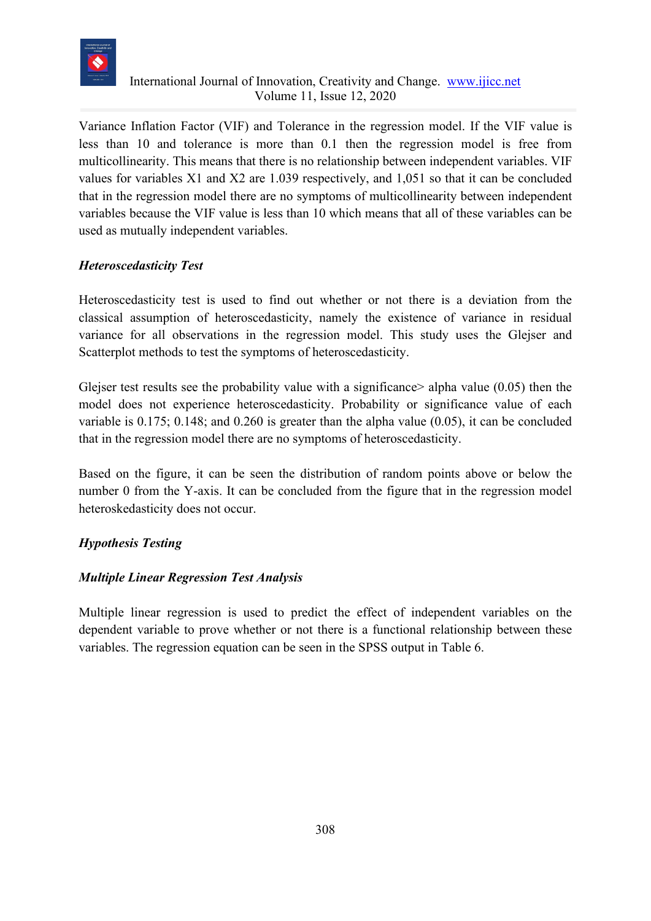

Variance Inflation Factor (VIF) and Tolerance in the regression model. If the VIF value is less than 10 and tolerance is more than 0.1 then the regression model is free from multicollinearity. This means that there is no relationship between independent variables. VIF values for variables X1 and X2 are 1.039 respectively, and 1,051 so that it can be concluded that in the regression model there are no symptoms of multicollinearity between independent variables because the VIF value is less than 10 which means that all of these variables can be used as mutually independent variables.

### *Heteroscedasticity Test*

Heteroscedasticity test is used to find out whether or not there is a deviation from the classical assumption of heteroscedasticity, namely the existence of variance in residual variance for all observations in the regression model. This study uses the Glejser and Scatterplot methods to test the symptoms of heteroscedasticity.

Glejser test results see the probability value with a significance alpha value  $(0.05)$  then the model does not experience heteroscedasticity. Probability or significance value of each variable is 0.175; 0.148; and 0.260 is greater than the alpha value (0.05), it can be concluded that in the regression model there are no symptoms of heteroscedasticity.

Based on the figure, it can be seen the distribution of random points above or below the number 0 from the Y-axis. It can be concluded from the figure that in the regression model heteroskedasticity does not occur.

### *Hypothesis Testing*

### *Multiple Linear Regression Test Analysis*

Multiple linear regression is used to predict the effect of independent variables on the dependent variable to prove whether or not there is a functional relationship between these variables. The regression equation can be seen in the SPSS output in Table 6.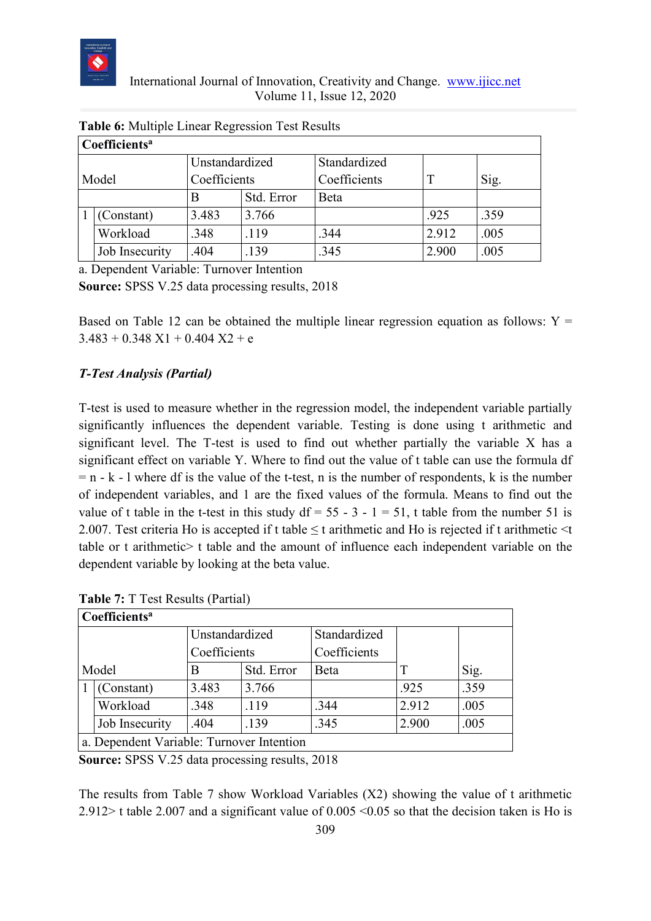

|                       | $\mathbf C$ oefficients <sup>a</sup> |                |            |              |       |      |  |
|-----------------------|--------------------------------------|----------------|------------|--------------|-------|------|--|
|                       |                                      | Unstandardized |            | Standardized |       |      |  |
| Coefficients<br>Model |                                      | Coefficients   |            | Sig.         |       |      |  |
|                       |                                      |                | Std. Error | Beta         |       |      |  |
|                       | (Constant)                           | 3.483          | 3.766      |              | .925  | .359 |  |
|                       | Workload                             | .348           | .119       | .344         | 2.912 | .005 |  |
|                       | Job Insecurity                       | .404           | .139       | .345         | 2.900 | .005 |  |

|  |  | Table 6: Multiple Linear Regression Test Results |
|--|--|--------------------------------------------------|
|  |  |                                                  |

a. Dependent Variable: Turnover Intention

**Source:** SPSS V.25 data processing results, 2018

Based on Table 12 can be obtained the multiple linear regression equation as follows:  $Y =$  $3.483 + 0.348$  X1 + 0.404 X2 + e

### *T-Test Analysis (Partial)*

T-test is used to measure whether in the regression model, the independent variable partially significantly influences the dependent variable. Testing is done using t arithmetic and significant level. The T-test is used to find out whether partially the variable X has a significant effect on variable Y. Where to find out the value of t table can use the formula df  $= n - k - l$  where df is the value of the t-test, n is the number of respondents, k is the number of independent variables, and 1 are the fixed values of the formula. Means to find out the value of t table in the t-test in this study  $df = 55 - 3 - 1 = 51$ , t table from the number 51 is 2.007. Test criteria Ho is accepted if t table  $\leq$  t arithmetic and Ho is rejected if t arithmetic  $\leq$ t table or t arithmetic> t table and the amount of influence each independent variable on the dependent variable by looking at the beta value.

|  | Coefficients <sup>a</sup>                 |                |            |              |       |      |
|--|-------------------------------------------|----------------|------------|--------------|-------|------|
|  |                                           | Unstandardized |            | Standardized |       |      |
|  |                                           | Coefficients   |            | Coefficients |       |      |
|  | Model                                     | B              | Std. Error | Beta         |       | Sig. |
|  | (Constant)                                | 3.483          | 3.766      |              | .925  | .359 |
|  | Workload                                  | .348           | .119       | .344         | 2.912 | .005 |
|  | Job Insecurity                            | .404           | .139       | .345         | 2.900 | .005 |
|  | a. Dependent Variable: Turnover Intention |                |            |              |       |      |

**Table 7:** T Test Results (Partial)

**Source:** SPSS V.25 data processing results, 2018

The results from Table 7 show Workload Variables (X2) showing the value of t arithmetic 2.912> t table 2.007 and a significant value of  $0.005 \le 0.05$  so that the decision taken is Ho is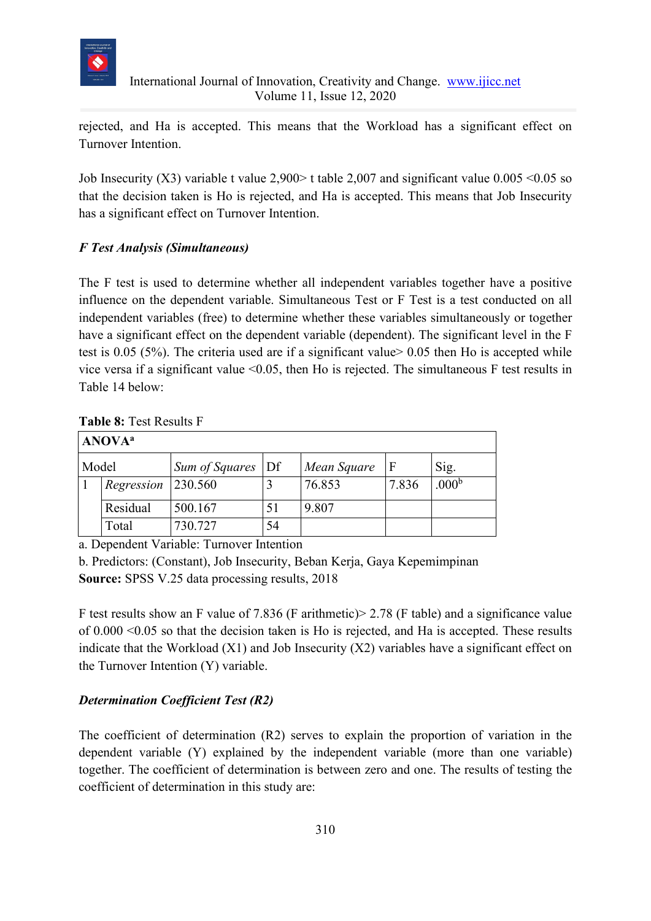

rejected, and Ha is accepted. This means that the Workload has a significant effect on Turnover Intention.

Job Insecurity (X3) variable t value 2,900> t table 2,007 and significant value 0.005 <0.05 so that the decision taken is Ho is rejected, and Ha is accepted. This means that Job Insecurity has a significant effect on Turnover Intention.

### *F Test Analysis (Simultaneous)*

The F test is used to determine whether all independent variables together have a positive influence on the dependent variable. Simultaneous Test or F Test is a test conducted on all independent variables (free) to determine whether these variables simultaneously or together have a significant effect on the dependent variable (dependent). The significant level in the F test is 0.05 (5%). The criteria used are if a significant value> 0.05 then Ho is accepted while vice versa if a significant value  $\leq 0.05$ , then Ho is rejected. The simultaneous F test results in Table 14 below:

#### **Table 8:** Test Results F

| <b>ANOVA</b> <sup>a</sup> |            |                                  |    |             |       |                   |
|---------------------------|------------|----------------------------------|----|-------------|-------|-------------------|
| Model                     |            | <i>Sum of Squares</i> $\vert$ Df |    | Mean Square | ١F    | Sig.              |
|                           | Regression | 230.560                          |    | 76.853      | 7.836 | .000 <sup>b</sup> |
|                           | Residual   | 500.167                          | 51 | 9.807       |       |                   |
|                           | Total      | 730.727                          | 54 |             |       |                   |

a. Dependent Variable: Turnover Intention

b. Predictors: (Constant), Job Insecurity, Beban Kerja, Gaya Kepemimpinan **Source:** SPSS V.25 data processing results, 2018

F test results show an F value of 7.836 (F arithmetic)> 2.78 (F table) and a significance value of 0.000 <0.05 so that the decision taken is Ho is rejected, and Ha is accepted. These results indicate that the Workload  $(X1)$  and Job Insecurity  $(X2)$  variables have a significant effect on the Turnover Intention (Y) variable.

### *Determination Coefficient Test (R2)*

The coefficient of determination (R2) serves to explain the proportion of variation in the dependent variable (Y) explained by the independent variable (more than one variable) together. The coefficient of determination is between zero and one. The results of testing the coefficient of determination in this study are: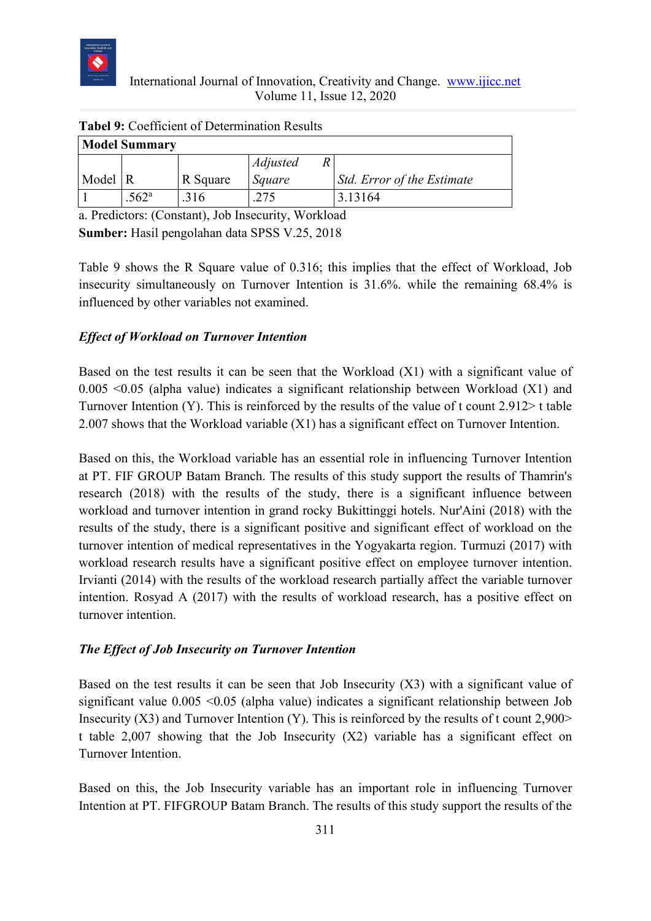

| <b>Model Summary</b> |                   |          |                 |                            |  |
|----------------------|-------------------|----------|-----------------|----------------------------|--|
|                      |                   |          | <i>Adjusted</i> |                            |  |
| Model R              |                   | R Square | Square          | Std. Error of the Estimate |  |
|                      | .562 <sup>a</sup> | .316     | 275             | 3.13164                    |  |

**Tabel 9:** Coefficient of Determination Results

a. Predictors: (Constant), Job Insecurity, Workload **Sumber:** Hasil pengolahan data SPSS V.25, 2018

Table 9 shows the R Square value of 0.316; this implies that the effect of Workload, Job insecurity simultaneously on Turnover Intention is 31.6%. while the remaining 68.4% is influenced by other variables not examined.

### *Effect of Workload on Turnover Intention*

Based on the test results it can be seen that the Workload (X1) with a significant value of 0.005  $\leq$ 0.05 (alpha value) indicates a significant relationship between Workload (X1) and Turnover Intention (Y). This is reinforced by the results of the value of t count 2.912> t table 2.007 shows that the Workload variable (X1) has a significant effect on Turnover Intention.

Based on this, the Workload variable has an essential role in influencing Turnover Intention at PT. FIF GROUP Batam Branch. The results of this study support the results of Thamrin's research (2018) with the results of the study, there is a significant influence between workload and turnover intention in grand rocky Bukittinggi hotels. Nur'Aini (2018) with the results of the study, there is a significant positive and significant effect of workload on the turnover intention of medical representatives in the Yogyakarta region. Turmuzi (2017) with workload research results have a significant positive effect on employee turnover intention. Irvianti (2014) with the results of the workload research partially affect the variable turnover intention. Rosyad A (2017) with the results of workload research, has a positive effect on turnover intention.

### *The Effect of Job Insecurity on Turnover Intention*

Based on the test results it can be seen that Job Insecurity (X3) with a significant value of significant value 0.005 <0.05 (alpha value) indicates a significant relationship between Job Insecurity  $(X3)$  and Turnover Intention  $(Y)$ . This is reinforced by the results of t count 2,900> t table 2,007 showing that the Job Insecurity (X2) variable has a significant effect on Turnover Intention.

Based on this, the Job Insecurity variable has an important role in influencing Turnover Intention at PT. FIFGROUP Batam Branch. The results of this study support the results of the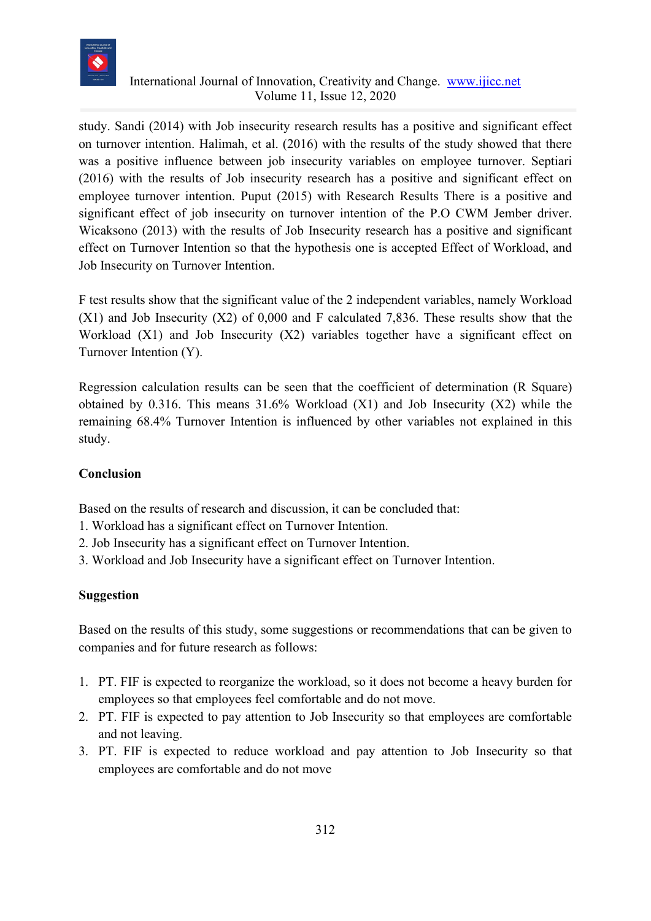

study. Sandi (2014) with Job insecurity research results has a positive and significant effect on turnover intention. Halimah, et al. (2016) with the results of the study showed that there was a positive influence between job insecurity variables on employee turnover. Septiari (2016) with the results of Job insecurity research has a positive and significant effect on employee turnover intention. Puput (2015) with Research Results There is a positive and significant effect of job insecurity on turnover intention of the P.O CWM Jember driver. Wicaksono (2013) with the results of Job Insecurity research has a positive and significant effect on Turnover Intention so that the hypothesis one is accepted Effect of Workload, and Job Insecurity on Turnover Intention.

F test results show that the significant value of the 2 independent variables, namely Workload (X1) and Job Insecurity (X2) of 0,000 and F calculated 7,836. These results show that the Workload (X1) and Job Insecurity (X2) variables together have a significant effect on Turnover Intention (Y).

Regression calculation results can be seen that the coefficient of determination (R Square) obtained by 0.316. This means 31.6% Workload (X1) and Job Insecurity (X2) while the remaining 68.4% Turnover Intention is influenced by other variables not explained in this study.

### **Conclusion**

Based on the results of research and discussion, it can be concluded that:

- 1. Workload has a significant effect on Turnover Intention.
- 2. Job Insecurity has a significant effect on Turnover Intention.
- 3. Workload and Job Insecurity have a significant effect on Turnover Intention.

### **Suggestion**

Based on the results of this study, some suggestions or recommendations that can be given to companies and for future research as follows:

- 1. PT. FIF is expected to reorganize the workload, so it does not become a heavy burden for employees so that employees feel comfortable and do not move.
- 2. PT. FIF is expected to pay attention to Job Insecurity so that employees are comfortable and not leaving.
- 3. PT. FIF is expected to reduce workload and pay attention to Job Insecurity so that employees are comfortable and do not move